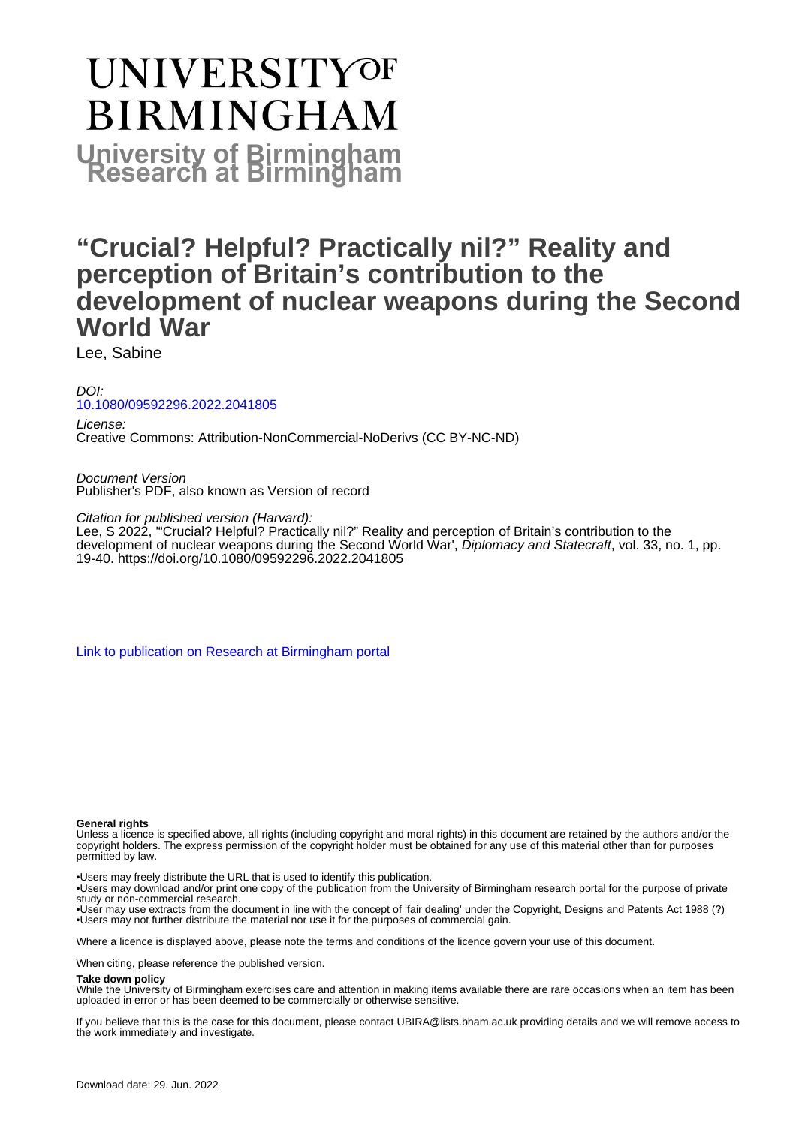# **UNIVERSITYOF BIRMINGHAM University of Birmingham**

# **"Crucial? Helpful? Practically nil?" Reality and perception of Britain's contribution to the development of nuclear weapons during the Second World War**

Lee, Sabine

DOI: [10.1080/09592296.2022.2041805](https://doi.org/10.1080/09592296.2022.2041805)

License: Creative Commons: Attribution-NonCommercial-NoDerivs (CC BY-NC-ND)

Document Version Publisher's PDF, also known as Version of record

Citation for published version (Harvard):

Lee, S 2022, '"Crucial? Helpful? Practically nil?" Reality and perception of Britain's contribution to the development of nuclear weapons during the Second World War', *Diplomacy and Statecraft*, vol. 33, no. 1, pp. 19-40.<https://doi.org/10.1080/09592296.2022.2041805>

[Link to publication on Research at Birmingham portal](https://birmingham.elsevierpure.com/en/publications/a01e0881-c45e-463b-b952-646a825843c2)

#### **General rights**

Unless a licence is specified above, all rights (including copyright and moral rights) in this document are retained by the authors and/or the copyright holders. The express permission of the copyright holder must be obtained for any use of this material other than for purposes permitted by law.

• Users may freely distribute the URL that is used to identify this publication.

• Users may download and/or print one copy of the publication from the University of Birmingham research portal for the purpose of private study or non-commercial research.

• User may use extracts from the document in line with the concept of 'fair dealing' under the Copyright, Designs and Patents Act 1988 (?) • Users may not further distribute the material nor use it for the purposes of commercial gain.

Where a licence is displayed above, please note the terms and conditions of the licence govern your use of this document.

When citing, please reference the published version.

#### **Take down policy**

While the University of Birmingham exercises care and attention in making items available there are rare occasions when an item has been uploaded in error or has been deemed to be commercially or otherwise sensitive.

If you believe that this is the case for this document, please contact UBIRA@lists.bham.ac.uk providing details and we will remove access to the work immediately and investigate.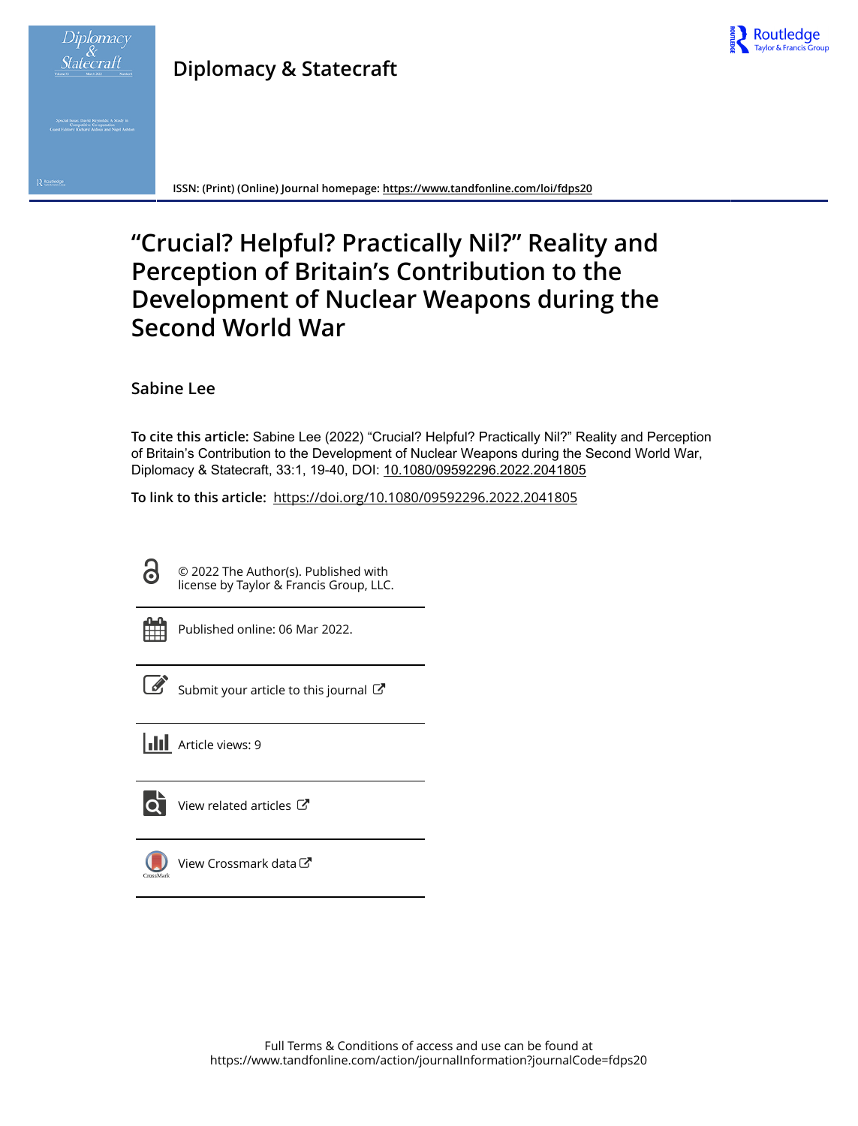

### **Diplomacy & Statecraft**



**ISSN: (Print) (Online) Journal homepage:<https://www.tandfonline.com/loi/fdps20>**

## **"Crucial? Helpful? Practically Nil?" Reality and Perception of Britain's Contribution to the Development of Nuclear Weapons during the Second World War**

#### **Sabine Lee**

**To cite this article:** Sabine Lee (2022) "Crucial? Helpful? Practically Nil?" Reality and Perception of Britain's Contribution to the Development of Nuclear Weapons during the Second World War, Diplomacy & Statecraft, 33:1, 19-40, DOI: [10.1080/09592296.2022.2041805](https://www.tandfonline.com/action/showCitFormats?doi=10.1080/09592296.2022.2041805)

**To link to this article:** <https://doi.org/10.1080/09592296.2022.2041805>

© 2022 The Author(s). Published with license by Taylor & Francis Group, LLC.

G

Published online: 06 Mar 2022.

| ł<br>۰. |
|---------|

[Submit your article to this journal](https://www.tandfonline.com/action/authorSubmission?journalCode=fdps20&show=instructions)  $\mathbb{Z}$ 

**III** Article views: 9





[View Crossmark data](http://crossmark.crossref.org/dialog/?doi=10.1080/09592296.2022.2041805&domain=pdf&date_stamp=2022-03-06) $\mathbb{C}$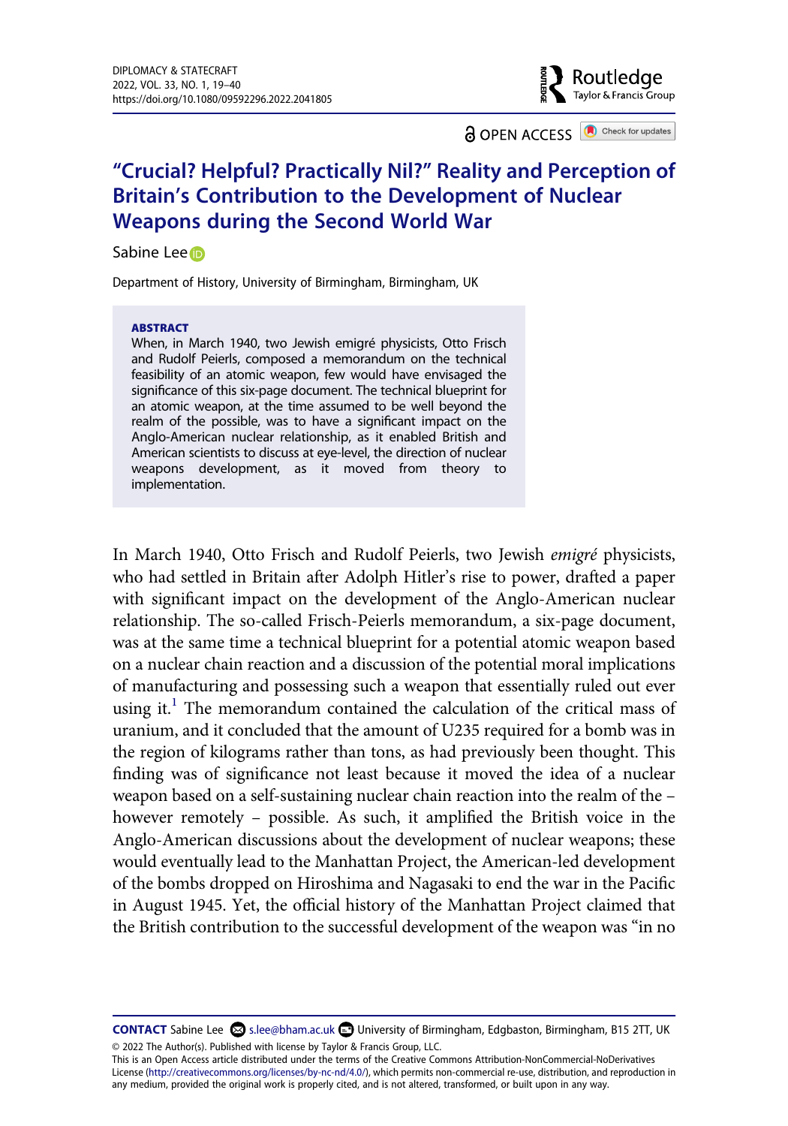**a** OPEN ACCESS **a** Check for updates

Routledge Taylor & Francis Group

### **"Crucial? Helpful? Practically Nil?" Reality and Perception of Britain's Contribution to the Development of Nuclear Weapons during the Second World War**

#### Sabin[e](http://orcid.org/0000-0002-4803-298X) Lee<sup>D</sup>

Department of History, University of Birmingham, Birmingham, UK

#### **ABSTRACT**

When, in March 1940, two Jewish emigré physicists, Otto Frisch and Rudolf Peierls, composed a memorandum on the technical feasibility of an atomic weapon, few would have envisaged the significance of this six-page document. The technical blueprint for an atomic weapon, at the time assumed to be well beyond the realm of the possible, was to have a significant impact on the Anglo-American nuclear relationship, as it enabled British and American scientists to discuss at eye-level, the direction of nuclear weapons development, as it moved from theory to implementation.

In March 1940, Otto Frisch and Rudolf Peierls, two Jewish *emigré* physicists, who had settled in Britain after Adolph Hitler's rise to power, drafted a paper with significant impact on the development of the Anglo-American nuclear relationship. The so-called Frisch-Peierls memorandum, a six-page document, was at the same time a technical blueprint for a potential atomic weapon based on a nuclear chain reaction and a discussion of the potential moral implications of manufacturing and possessing such a weapon that essentially ruled out ever using it.<sup>1</sup> The memorandum contained the calculation of the critical mass of uranium, and it concluded that the amount of U235 required for a bomb was in the region of kilograms rather than tons, as had previously been thought. This finding was of significance not least because it moved the idea of a nuclear weapon based on a self-sustaining nuclear chain reaction into the realm of the – however remotely – possible. As such, it amplified the British voice in the Anglo-American discussions about the development of nuclear weapons; these would eventually lead to the Manhattan Project, the American-led development of the bombs dropped on Hiroshima and Nagasaki to end the war in the Pacific in August 1945. Yet, the official history of the Manhattan Project claimed that the British contribution to the successful development of the weapon was "in no

CONTACT Sabine Lee S.lee@bham.ac.uk **D** University of Birmingham, Edgbaston, Birmingham, B15 2TT, UK © 2022 The Author(s). Published with license by Taylor & Francis Group, LLC.

This is an Open Access article distributed under the terms of the Creative Commons Attribution-NonCommercial-NoDerivatives License (http://creativecommons.org/licenses/by-nc-nd/4.0/), which permits non-commercial re-use, distribution, and reproduction in any medium, provided the original work is properly cited, and is not altered, transformed, or built upon in any way.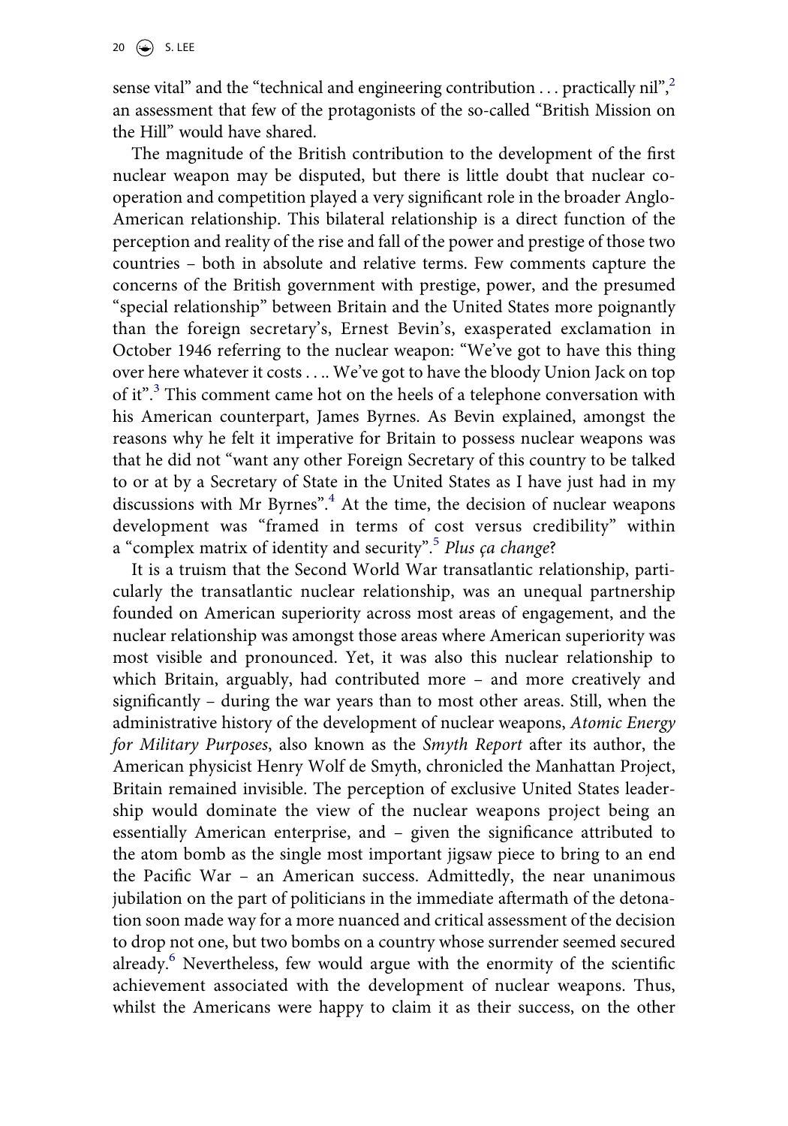sense vital" and the "technical and engineering contribution  $\ldots$  practically nil",  $\frac{2}{3}$ an assessment that few of the protagonists of the so-called "British Mission on the Hill" would have shared.

The magnitude of the British contribution to the development of the first nuclear weapon may be disputed, but there is little doubt that nuclear cooperation and competition played a very significant role in the broader Anglo-American relationship. This bilateral relationship is a direct function of the perception and reality of the rise and fall of the power and prestige of those two countries – both in absolute and relative terms. Few comments capture the concerns of the British government with prestige, power, and the presumed "special relationship" between Britain and the United States more poignantly than the foreign secretary's, Ernest Bevin's, exasperated exclamation in October 1946 referring to the nuclear weapon: "We've got to have this thing over here whatever it costs . . .. We've got to have the bloody Union Jack on top of it".<sup>[3](#page-19-2)</sup> This comment came hot on the heels of a telephone conversation with his American counterpart, James Byrnes. As Bevin explained, amongst the reasons why he felt it imperative for Britain to possess nuclear weapons was that he did not "want any other Foreign Secretary of this country to be talked to or at by a Secretary of State in the United States as I have just had in my discussions with Mr Byrnes".<sup>[4](#page-19-3)</sup> At the time, the decision of nuclear weapons development was "framed in terms of cost versus credibility" within a "complex matrix of identity and security".[5](#page-19-4) *Plus ça change*?

It is a truism that the Second World War transatlantic relationship, particularly the transatlantic nuclear relationship, was an unequal partnership founded on American superiority across most areas of engagement, and the nuclear relationship was amongst those areas where American superiority was most visible and pronounced. Yet, it was also this nuclear relationship to which Britain, arguably, had contributed more – and more creatively and significantly – during the war years than to most other areas. Still, when the administrative history of the development of nuclear weapons, *Atomic Energy for Military Purposes*, also known as the *Smyth Report* after its author, the American physicist Henry Wolf de Smyth, chronicled the Manhattan Project, Britain remained invisible. The perception of exclusive United States leadership would dominate the view of the nuclear weapons project being an essentially American enterprise, and – given the significance attributed to the atom bomb as the single most important jigsaw piece to bring to an end the Pacific War – an American success. Admittedly, the near unanimous jubilation on the part of politicians in the immediate aftermath of the detonation soon made way for a more nuanced and critical assessment of the decision to drop not one, but two bombs on a country whose surrender seemed secured already. $6$  Nevertheless, few would argue with the enormity of the scientific achievement associated with the development of nuclear weapons. Thus, whilst the Americans were happy to claim it as their success, on the other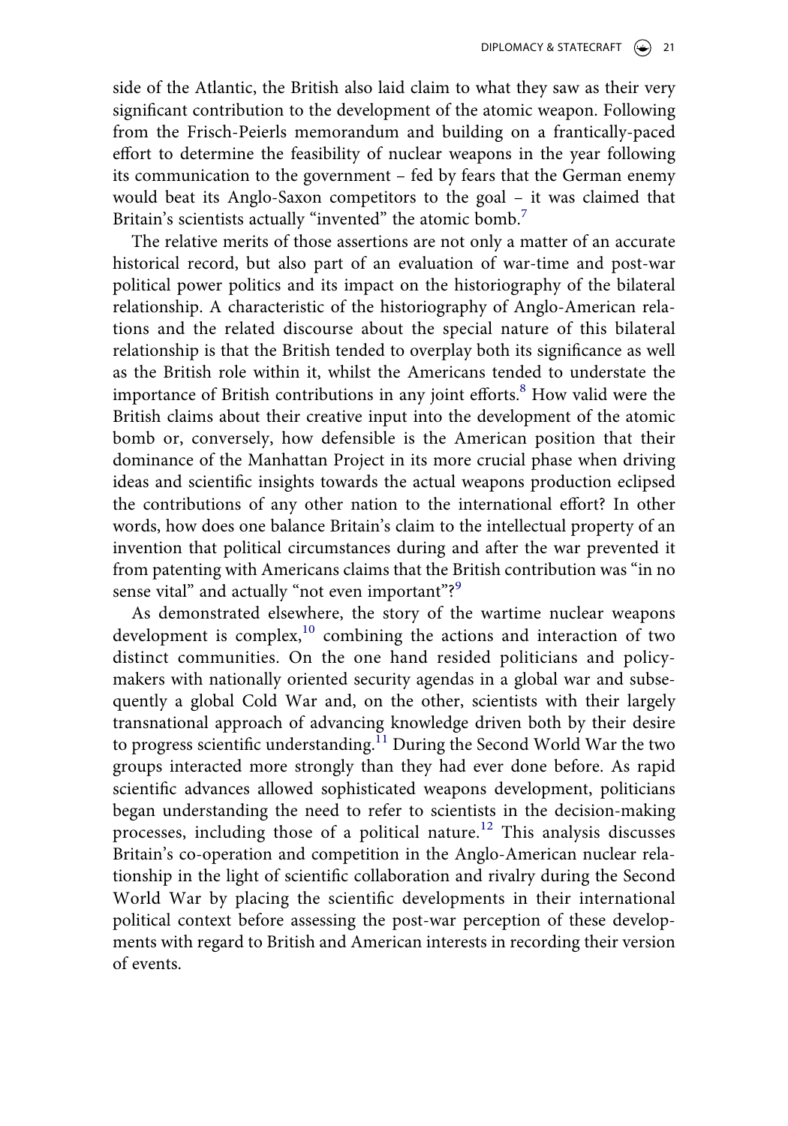side of the Atlantic, the British also laid claim to what they saw as their very significant contribution to the development of the atomic weapon. Following from the Frisch-Peierls memorandum and building on a frantically-paced effort to determine the feasibility of nuclear weapons in the year following its communication to the government – fed by fears that the German enemy would beat its Anglo-Saxon competitors to the goal – it was claimed that Britain's scientists actually "invented" the atomic bomb.<sup>[7](#page-19-6)</sup>

The relative merits of those assertions are not only a matter of an accurate historical record, but also part of an evaluation of war-time and post-war political power politics and its impact on the historiography of the bilateral relationship. A characteristic of the historiography of Anglo-American relations and the related discourse about the special nature of this bilateral relationship is that the British tended to overplay both its significance as well as the British role within it, whilst the Americans tended to understate the importance of British contributions in any joint efforts. $8$  How valid were the British claims about their creative input into the development of the atomic bomb or, conversely, how defensible is the American position that their dominance of the Manhattan Project in its more crucial phase when driving ideas and scientific insights towards the actual weapons production eclipsed the contributions of any other nation to the international effort? In other words, how does one balance Britain's claim to the intellectual property of an invention that political circumstances during and after the war prevented it from patenting with Americans claims that the British contribution was "in no sense vital" and actually "not even important"?<sup>9</sup>

As demonstrated elsewhere, the story of the wartime nuclear weapons development is complex,<sup>10</sup> combining the actions and interaction of two distinct communities. On the one hand resided politicians and policymakers with nationally oriented security agendas in a global war and subsequently a global Cold War and, on the other, scientists with their largely transnational approach of advancing knowledge driven both by their desire to progress scientific understanding.<sup>[11](#page-19-10)</sup> During the Second World War the two groups interacted more strongly than they had ever done before. As rapid scientific advances allowed sophisticated weapons development, politicians began understanding the need to refer to scientists in the decision-making processes, including those of a political nature.<sup>12</sup> This analysis discusses Britain's co-operation and competition in the Anglo-American nuclear relationship in the light of scientific collaboration and rivalry during the Second World War by placing the scientific developments in their international political context before assessing the post-war perception of these developments with regard to British and American interests in recording their version of events.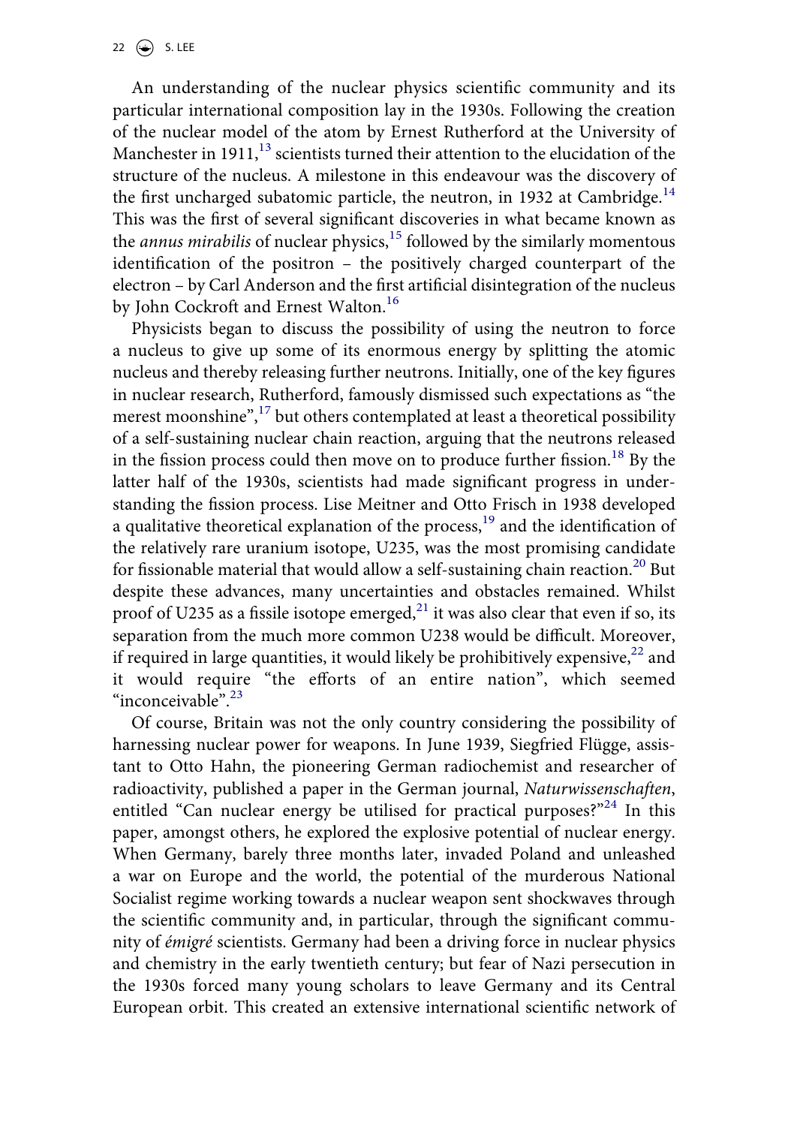An understanding of the nuclear physics scientific community and its particular international composition lay in the 1930s. Following the creation of the nuclear model of the atom by Ernest Rutherford at the University of Manchester in 1911, $^{13}$  scientists turned their attention to the elucidation of the structure of the nucleus. A milestone in this endeavour was the discovery of the first uncharged subatomic particle, the neutron, in 1932 at Cambridge.<sup>[14](#page-20-2)</sup> This was the first of several significant discoveries in what became known as the *annus mirabilis* of nuclear physics,<sup>[15](#page-20-3)</sup> followed by the similarly momentous identification of the positron – the positively charged counterpart of the electron – by Carl Anderson and the first artificial disintegration of the nucleus by John Cockroft and Ernest Walton.<sup>[16](#page-20-4)</sup>

Physicists began to discuss the possibility of using the neutron to force a nucleus to give up some of its enormous energy by splitting the atomic nucleus and thereby releasing further neutrons. Initially, one of the key figures in nuclear research, Rutherford, famously dismissed such expectations as "the merest moonshine",<sup>[17](#page-20-5)</sup> but others contemplated at least a theoretical possibility of a self-sustaining nuclear chain reaction, arguing that the neutrons released in the fission process could then move on to produce further fission.<sup>[18](#page-20-6)</sup> By the latter half of the 1930s, scientists had made significant progress in understanding the fission process. Lise Meitner and Otto Frisch in 1938 developed a qualitative theoretical explanation of the process,<sup>19</sup> and the identification of the relatively rare uranium isotope, U235, was the most promising candidate for fissionable material that would allow a self-sustaining chain reaction.<sup>[20](#page-20-8)</sup> But despite these advances, many uncertainties and obstacles remained. Whilst proof of U235 as a fissile isotope emerged, $^{21}$  it was also clear that even if so, its separation from the much more common U238 would be difficult. Moreover, if required in large quantities, it would likely be prohibitively expensive,  $22$  and it would require "the efforts of an entire nation", which seemed "inconceivable".<sup>[23](#page-20-11)</sup>

Of course, Britain was not the only country considering the possibility of harnessing nuclear power for weapons. In June 1939, Siegfried Flügge, assistant to Otto Hahn, the pioneering German radiochemist and researcher of radioactivity, published a paper in the German journal, *Naturwissenschaften*, entitled "Can nuclear energy be utilised for practical purposes?"<sup>24</sup> In this paper, amongst others, he explored the explosive potential of nuclear energy. When Germany, barely three months later, invaded Poland and unleashed a war on Europe and the world, the potential of the murderous National Socialist regime working towards a nuclear weapon sent shockwaves through the scientific community and, in particular, through the significant community of *émigré* scientists. Germany had been a driving force in nuclear physics and chemistry in the early twentieth century; but fear of Nazi persecution in the 1930s forced many young scholars to leave Germany and its Central European orbit. This created an extensive international scientific network of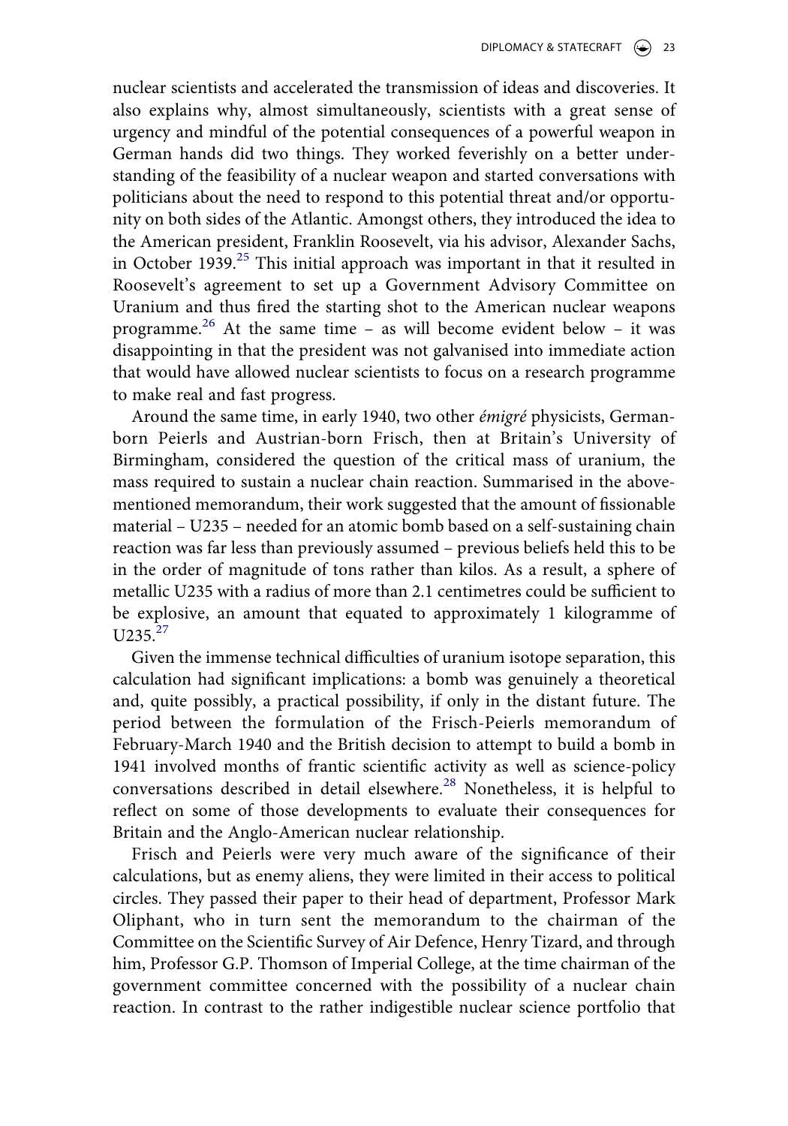nuclear scientists and accelerated the transmission of ideas and discoveries. It also explains why, almost simultaneously, scientists with a great sense of urgency and mindful of the potential consequences of a powerful weapon in German hands did two things. They worked feverishly on a better understanding of the feasibility of a nuclear weapon and started conversations with politicians about the need to respond to this potential threat and/or opportunity on both sides of the Atlantic. Amongst others, they introduced the idea to the American president, Franklin Roosevelt, via his advisor, Alexander Sachs, in October 1939. $25$  This initial approach was important in that it resulted in Roosevelt's agreement to set up a Government Advisory Committee on Uranium and thus fired the starting shot to the American nuclear weapons programme.<sup>26</sup> At the same time – as will become evident below – it was disappointing in that the president was not galvanised into immediate action that would have allowed nuclear scientists to focus on a research programme to make real and fast progress.

Around the same time, in early 1940, two other *émigré* physicists, Germanborn Peierls and Austrian-born Frisch, then at Britain's University of Birmingham, considered the question of the critical mass of uranium, the mass required to sustain a nuclear chain reaction. Summarised in the abovementioned memorandum, their work suggested that the amount of fissionable material – U235 – needed for an atomic bomb based on a self-sustaining chain reaction was far less than previously assumed – previous beliefs held this to be in the order of magnitude of tons rather than kilos. As a result, a sphere of metallic U235 with a radius of more than 2.1 centimetres could be sufficient to be explosive, an amount that equated to approximately 1 kilogramme of  $U235^{27}$  $U235^{27}$  $U235^{27}$ 

Given the immense technical difficulties of uranium isotope separation, this calculation had significant implications: a bomb was genuinely a theoretical and, quite possibly, a practical possibility, if only in the distant future. The period between the formulation of the Frisch-Peierls memorandum of February-March 1940 and the British decision to attempt to build a bomb in 1941 involved months of frantic scientific activity as well as science-policy conversations described in detail elsewhere.<sup>28</sup> Nonetheless, it is helpful to reflect on some of those developments to evaluate their consequences for Britain and the Anglo-American nuclear relationship.

Frisch and Peierls were very much aware of the significance of their calculations, but as enemy aliens, they were limited in their access to political circles. They passed their paper to their head of department, Professor Mark Oliphant, who in turn sent the memorandum to the chairman of the Committee on the Scientific Survey of Air Defence, Henry Tizard, and through him, Professor G.P. Thomson of Imperial College, at the time chairman of the government committee concerned with the possibility of a nuclear chain reaction. In contrast to the rather indigestible nuclear science portfolio that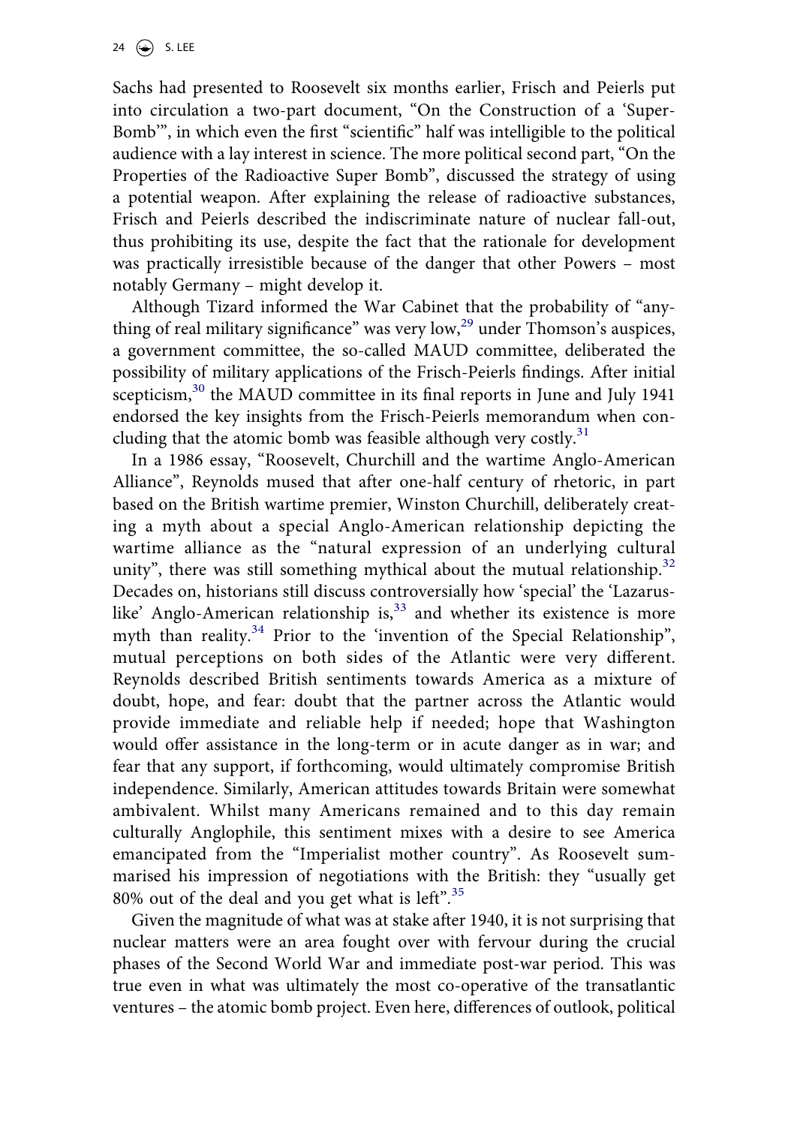Sachs had presented to Roosevelt six months earlier, Frisch and Peierls put into circulation a two-part document, "On the Construction of a 'Super-Bomb'", in which even the first "scientific" half was intelligible to the political audience with a lay interest in science. The more political second part, "On the Properties of the Radioactive Super Bomb", discussed the strategy of using a potential weapon. After explaining the release of radioactive substances, Frisch and Peierls described the indiscriminate nature of nuclear fall-out, thus prohibiting its use, despite the fact that the rationale for development was practically irresistible because of the danger that other Powers – most notably Germany – might develop it.

Although Tizard informed the War Cabinet that the probability of "anything of real military significance" was very  $low<sub>1</sub><sup>29</sup>$  under Thomson's auspices, a government committee, the so-called MAUD committee, deliberated the possibility of military applications of the Frisch-Peierls findings. After initial scepticism, $30$  the MAUD committee in its final reports in June and July 1941 endorsed the key insights from the Frisch-Peierls memorandum when con-cluding that the atomic bomb was feasible although very costly.<sup>[31](#page-20-19)</sup>

In a 1986 essay, "Roosevelt, Churchill and the wartime Anglo-American Alliance", Reynolds mused that after one-half century of rhetoric, in part based on the British wartime premier, Winston Churchill, deliberately creating a myth about a special Anglo-American relationship depicting the wartime alliance as the "natural expression of an underlying cultural unity", there was still something mythical about the mutual relationship.<sup>[32](#page-20-20)</sup> Decades on, historians still discuss controversially how 'special' the 'Lazaruslike' Anglo-American relationship is, $33$  and whether its existence is more myth than reality.<sup>[34](#page-20-22)</sup> Prior to the 'invention of the Special Relationship", mutual perceptions on both sides of the Atlantic were very different. Reynolds described British sentiments towards America as a mixture of doubt, hope, and fear: doubt that the partner across the Atlantic would provide immediate and reliable help if needed; hope that Washington would offer assistance in the long-term or in acute danger as in war; and fear that any support, if forthcoming, would ultimately compromise British independence. Similarly, American attitudes towards Britain were somewhat ambivalent. Whilst many Americans remained and to this day remain culturally Anglophile, this sentiment mixes with a desire to see America emancipated from the "Imperialist mother country". As Roosevelt summarised his impression of negotiations with the British: they "usually get 80% out of the deal and you get what is left".[35](#page-20-23)

Given the magnitude of what was at stake after 1940, it is not surprising that nuclear matters were an area fought over with fervour during the crucial phases of the Second World War and immediate post-war period. This was true even in what was ultimately the most co-operative of the transatlantic ventures – the atomic bomb project. Even here, differences of outlook, political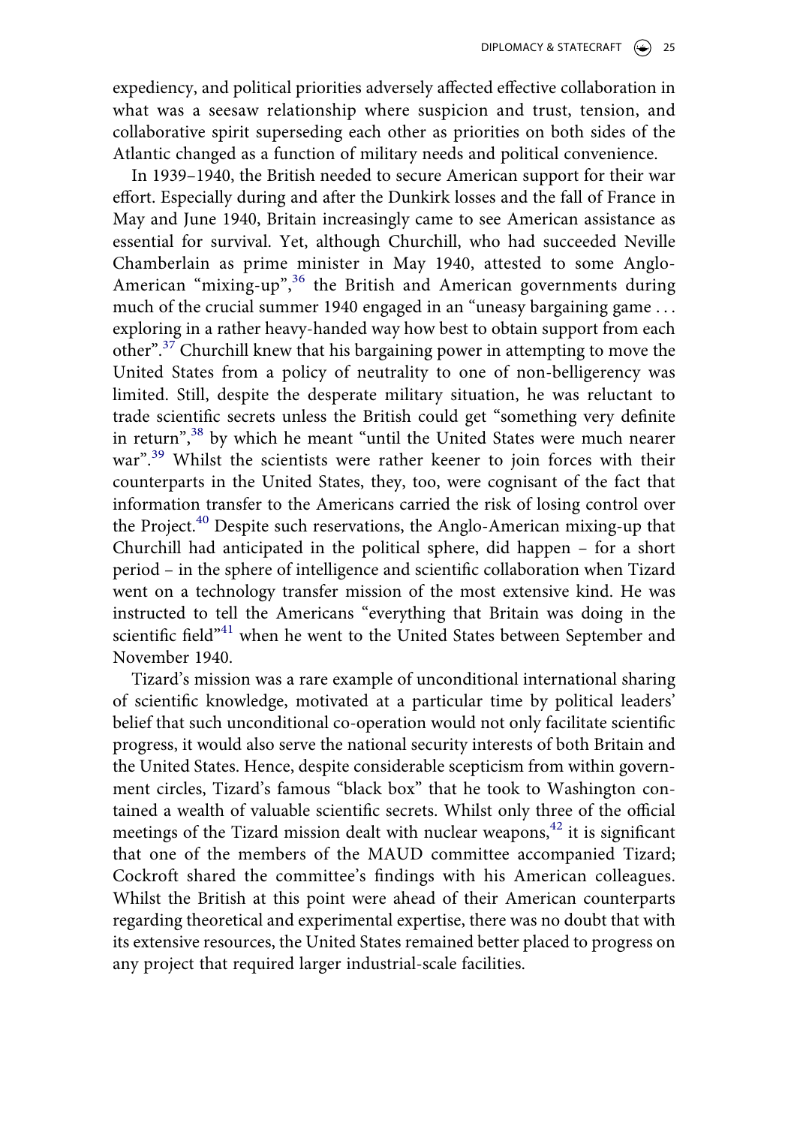expediency, and political priorities adversely affected effective collaboration in what was a seesaw relationship where suspicion and trust, tension, and collaborative spirit superseding each other as priorities on both sides of the Atlantic changed as a function of military needs and political convenience.

In 1939–1940, the British needed to secure American support for their war effort. Especially during and after the Dunkirk losses and the fall of France in May and June 1940, Britain increasingly came to see American assistance as essential for survival. Yet, although Churchill, who had succeeded Neville Chamberlain as prime minister in May 1940, attested to some Anglo-American "mixing-up",  $36$  the British and American governments during much of the crucial summer 1940 engaged in an "uneasy bargaining game . . . exploring in a rather heavy-handed way how best to obtain support from each other".[37](#page-21-1) Churchill knew that his bargaining power in attempting to move the United States from a policy of neutrality to one of non-belligerency was limited. Still, despite the desperate military situation, he was reluctant to trade scientific secrets unless the British could get "something very definite in return",<sup>[38](#page-21-2)</sup> by which he meant "until the United States were much nearer war".<sup>[39](#page-21-3)</sup> Whilst the scientists were rather keener to join forces with their counterparts in the United States, they, too, were cognisant of the fact that information transfer to the Americans carried the risk of losing control over the Project.<sup>40</sup> Despite such reservations, the Anglo-American mixing-up that Churchill had anticipated in the political sphere, did happen – for a short period – in the sphere of intelligence and scientific collaboration when Tizard went on a technology transfer mission of the most extensive kind. He was instructed to tell the Americans "everything that Britain was doing in the scientific field"<sup>[41](#page-21-5)</sup> when he went to the United States between September and November 1940.

Tizard's mission was a rare example of unconditional international sharing of scientific knowledge, motivated at a particular time by political leaders' belief that such unconditional co-operation would not only facilitate scientific progress, it would also serve the national security interests of both Britain and the United States. Hence, despite considerable scepticism from within government circles, Tizard's famous "black box" that he took to Washington contained a wealth of valuable scientific secrets. Whilst only three of the official meetings of the Tizard mission dealt with nuclear weapons,  $42$  it is significant that one of the members of the MAUD committee accompanied Tizard; Cockroft shared the committee's findings with his American colleagues. Whilst the British at this point were ahead of their American counterparts regarding theoretical and experimental expertise, there was no doubt that with its extensive resources, the United States remained better placed to progress on any project that required larger industrial-scale facilities.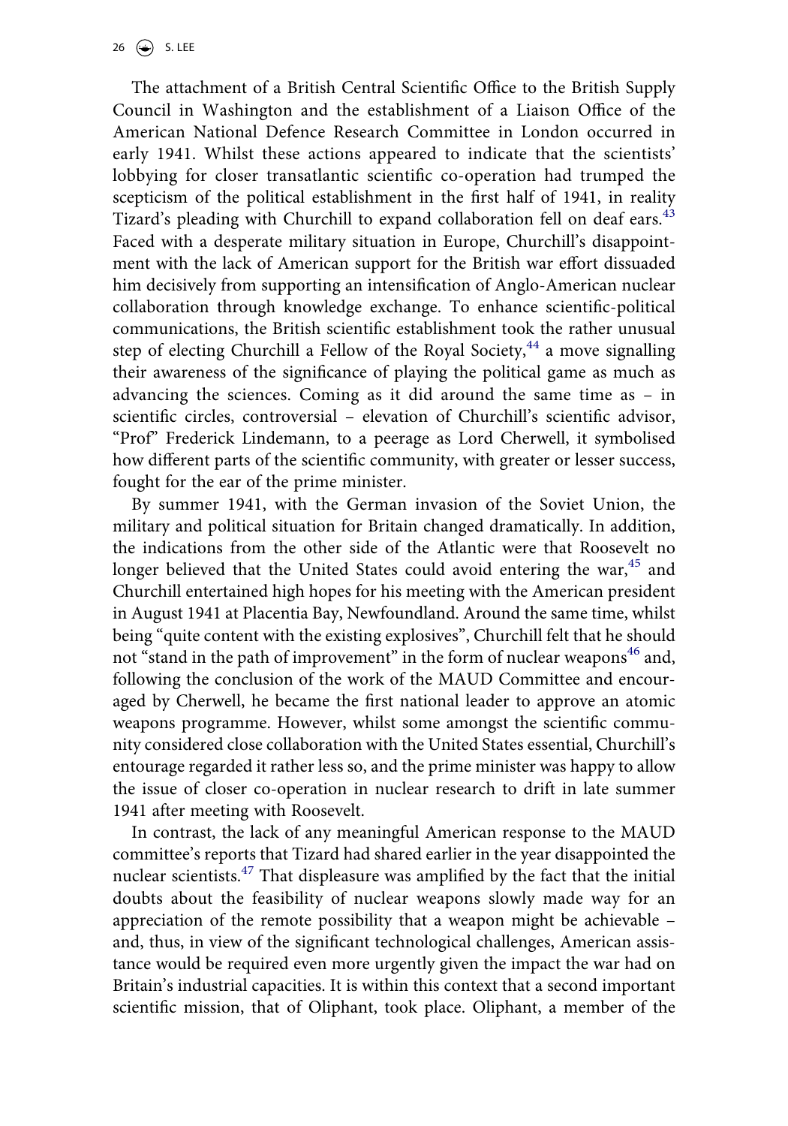The attachment of a British Central Scientific Office to the British Supply Council in Washington and the establishment of a Liaison Office of the American National Defence Research Committee in London occurred in early 1941. Whilst these actions appeared to indicate that the scientists' lobbying for closer transatlantic scientific co-operation had trumped the scepticism of the political establishment in the first half of 1941, in reality Tizard's pleading with Churchill to expand collaboration fell on deaf ears.<sup>[43](#page-21-7)</sup> Faced with a desperate military situation in Europe, Churchill's disappointment with the lack of American support for the British war effort dissuaded him decisively from supporting an intensification of Anglo-American nuclear collaboration through knowledge exchange. To enhance scientific-political communications, the British scientific establishment took the rather unusual step of electing Churchill a Fellow of the Royal Society, $44$  a move signalling their awareness of the significance of playing the political game as much as advancing the sciences. Coming as it did around the same time as – in scientific circles, controversial – elevation of Churchill's scientific advisor, "Prof" Frederick Lindemann, to a peerage as Lord Cherwell, it symbolised how different parts of the scientific community, with greater or lesser success, fought for the ear of the prime minister.

By summer 1941, with the German invasion of the Soviet Union, the military and political situation for Britain changed dramatically. In addition, the indications from the other side of the Atlantic were that Roosevelt no longer believed that the United States could avoid entering the war,  $45$  and Churchill entertained high hopes for his meeting with the American president in August 1941 at Placentia Bay, Newfoundland. Around the same time, whilst being "quite content with the existing explosives", Churchill felt that he should not "stand in the path of improvement" in the form of nuclear weapons<sup>46</sup> and, following the conclusion of the work of the MAUD Committee and encouraged by Cherwell, he became the first national leader to approve an atomic weapons programme. However, whilst some amongst the scientific community considered close collaboration with the United States essential, Churchill's entourage regarded it rather less so, and the prime minister was happy to allow the issue of closer co-operation in nuclear research to drift in late summer 1941 after meeting with Roosevelt.

In contrast, the lack of any meaningful American response to the MAUD committee's reports that Tizard had shared earlier in the year disappointed the nuclear scientists.<sup>47</sup> That displeasure was amplified by the fact that the initial doubts about the feasibility of nuclear weapons slowly made way for an appreciation of the remote possibility that a weapon might be achievable – and, thus, in view of the significant technological challenges, American assistance would be required even more urgently given the impact the war had on Britain's industrial capacities. It is within this context that a second important scientific mission, that of Oliphant, took place. Oliphant, a member of the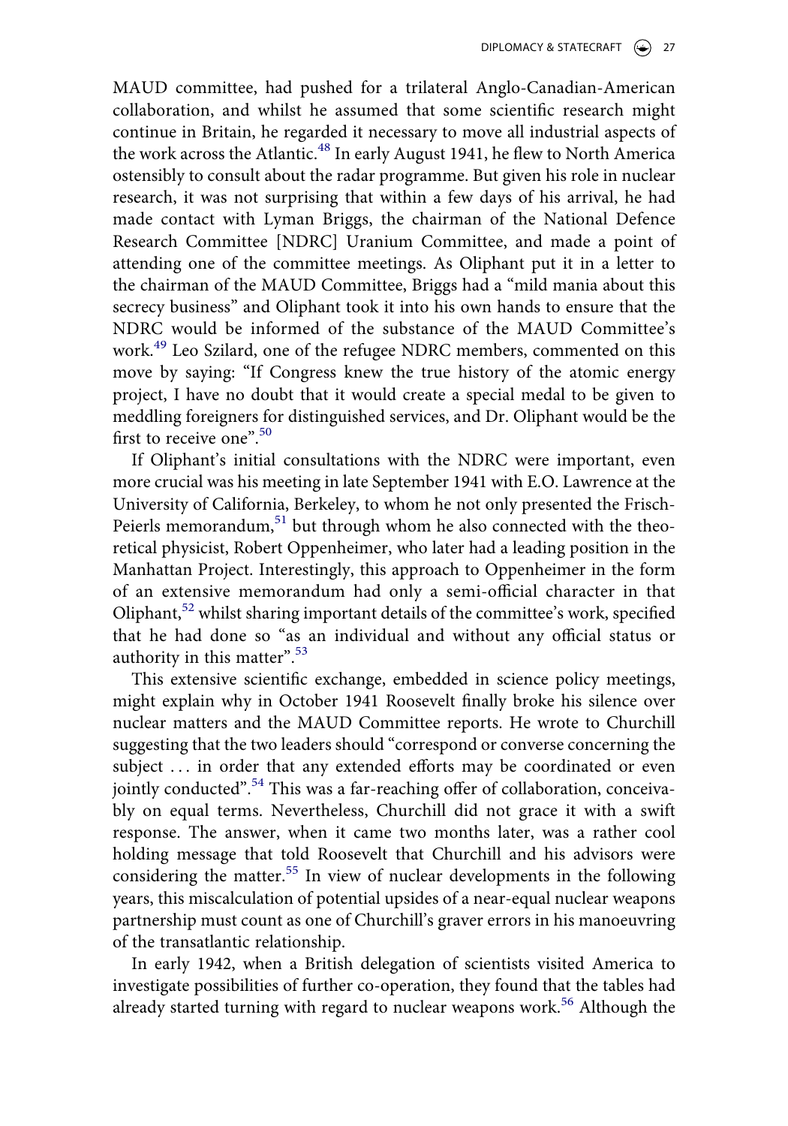MAUD committee, had pushed for a trilateral Anglo-Canadian-American collaboration, and whilst he assumed that some scientific research might continue in Britain, he regarded it necessary to move all industrial aspects of the work across the Atlantic.<sup>[48](#page-21-12)</sup> In early August 1941, he flew to North America ostensibly to consult about the radar programme. But given his role in nuclear research, it was not surprising that within a few days of his arrival, he had made contact with Lyman Briggs, the chairman of the National Defence Research Committee [NDRC] Uranium Committee, and made a point of attending one of the committee meetings. As Oliphant put it in a letter to the chairman of the MAUD Committee, Briggs had a "mild mania about this secrecy business" and Oliphant took it into his own hands to ensure that the NDRC would be informed of the substance of the MAUD Committee's work.<sup>49</sup> Leo Szilard, one of the refugee NDRC members, commented on this move by saying: "If Congress knew the true history of the atomic energy project, I have no doubt that it would create a special medal to be given to meddling foreigners for distinguished services, and Dr. Oliphant would be the first to receive one". $50$ 

If Oliphant's initial consultations with the NDRC were important, even more crucial was his meeting in late September 1941 with E.O. Lawrence at the University of California, Berkeley, to whom he not only presented the Frisch-Peierls memorandum, $51$  but through whom he also connected with the theoretical physicist, Robert Oppenheimer, who later had a leading position in the Manhattan Project. Interestingly, this approach to Oppenheimer in the form of an extensive memorandum had only a semi-official character in that Oliphant, $52$  whilst sharing important details of the committee's work, specified that he had done so "as an individual and without any official status or authority in this matter".<sup>[53](#page-21-17)</sup>

This extensive scientific exchange, embedded in science policy meetings, might explain why in October 1941 Roosevelt finally broke his silence over nuclear matters and the MAUD Committee reports. He wrote to Churchill suggesting that the two leaders should "correspond or converse concerning the subject ... in order that any extended efforts may be coordinated or even jointly conducted".<sup>[54](#page-21-18)</sup> This was a far-reaching offer of collaboration, conceivably on equal terms. Nevertheless, Churchill did not grace it with a swift response. The answer, when it came two months later, was a rather cool holding message that told Roosevelt that Churchill and his advisors were considering the matter.<sup>55</sup> In view of nuclear developments in the following years, this miscalculation of potential upsides of a near-equal nuclear weapons partnership must count as one of Churchill's graver errors in his manoeuvring of the transatlantic relationship.

In early 1942, when a British delegation of scientists visited America to investigate possibilities of further co-operation, they found that the tables had already started turning with regard to nuclear weapons work.<sup>56</sup> Although the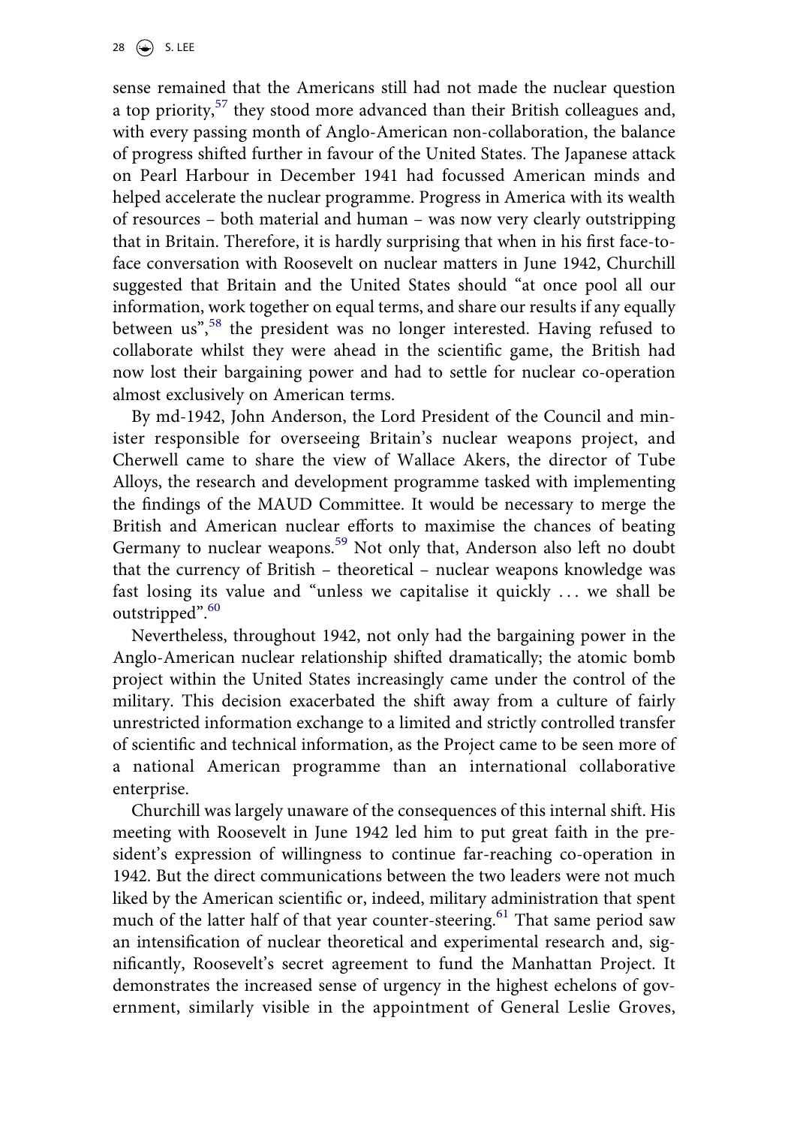sense remained that the Americans still had not made the nuclear question a top priority,<sup>57</sup> they stood more advanced than their British colleagues and, with every passing month of Anglo-American non-collaboration, the balance of progress shifted further in favour of the United States. The Japanese attack on Pearl Harbour in December 1941 had focussed American minds and helped accelerate the nuclear programme. Progress in America with its wealth of resources – both material and human – was now very clearly outstripping that in Britain. Therefore, it is hardly surprising that when in his first face-toface conversation with Roosevelt on nuclear matters in June 1942, Churchill suggested that Britain and the United States should "at once pool all our information, work together on equal terms, and share our results if any equally between us",<sup>58</sup> the president was no longer interested. Having refused to collaborate whilst they were ahead in the scientific game, the British had now lost their bargaining power and had to settle for nuclear co-operation almost exclusively on American terms.

By md-1942, John Anderson, the Lord President of the Council and minister responsible for overseeing Britain's nuclear weapons project, and Cherwell came to share the view of Wallace Akers, the director of Tube Alloys, the research and development programme tasked with implementing the findings of the MAUD Committee. It would be necessary to merge the British and American nuclear efforts to maximise the chances of beating Germany to nuclear weapons.<sup>[59](#page-21-23)</sup> Not only that, Anderson also left no doubt that the currency of British – theoretical – nuclear weapons knowledge was fast losing its value and "unless we capitalise it quickly . . . we shall be outstripped $\degree$ .<sup>[60](#page-21-24)</sup>

Nevertheless, throughout 1942, not only had the bargaining power in the Anglo-American nuclear relationship shifted dramatically; the atomic bomb project within the United States increasingly came under the control of the military. This decision exacerbated the shift away from a culture of fairly unrestricted information exchange to a limited and strictly controlled transfer of scientific and technical information, as the Project came to be seen more of a national American programme than an international collaborative enterprise.

Churchill was largely unaware of the consequences of this internal shift. His meeting with Roosevelt in June 1942 led him to put great faith in the president's expression of willingness to continue far-reaching co-operation in 1942. But the direct communications between the two leaders were not much liked by the American scientific or, indeed, military administration that spent much of the latter half of that year counter-steering.<sup>61</sup> That same period saw an intensification of nuclear theoretical and experimental research and, significantly, Roosevelt's secret agreement to fund the Manhattan Project. It demonstrates the increased sense of urgency in the highest echelons of government, similarly visible in the appointment of General Leslie Groves,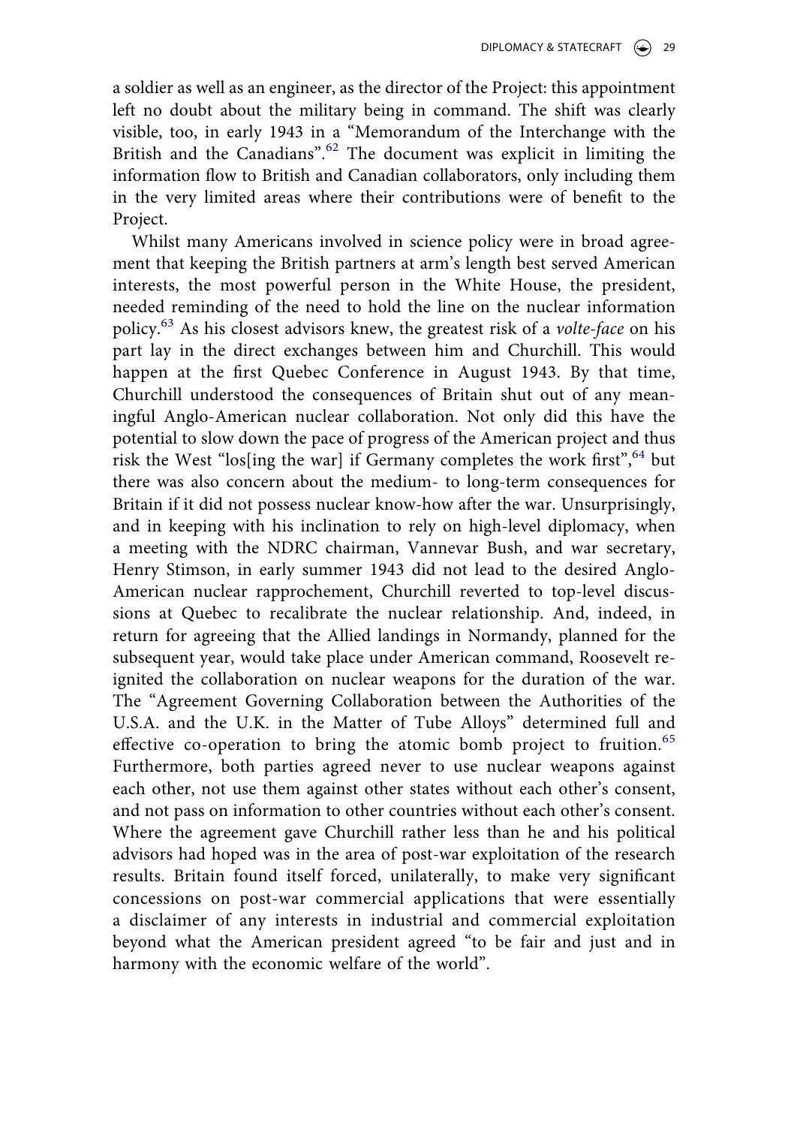a soldier as well as an engineer, as the director of the Project: this appointment left no doubt about the military being in command. The shift was clearly visible, too, in early 1943 in a "Memorandum of the Interchange with the British and the Canadians".<sup>62</sup> The document was explicit in limiting the information flow to British and Canadian collaborators, only including them in the very limited areas where their contributions were of benefit to the Project.

Whilst many Americans involved in science policy were in broad agreement that keeping the British partners at arm's length best served American interests, the most powerful person in the White House, the president, needed reminding of the need to hold the line on the nuclear information policy.[63](#page-21-27) As his closest advisors knew, the greatest risk of a *volte-face* on his part lay in the direct exchanges between him and Churchill. This would happen at the first Quebec Conference in August 1943. By that time, Churchill understood the consequences of Britain shut out of any meaningful Anglo-American nuclear collaboration. Not only did this have the potential to slow down the pace of progress of the American project and thus risk the West "los[ing the war] if Germany completes the work first",  $64$  but there was also concern about the medium- to long-term consequences for Britain if it did not possess nuclear know-how after the war. Unsurprisingly, and in keeping with his inclination to rely on high-level diplomacy, when a meeting with the NDRC chairman, Vannevar Bush, and war secretary, Henry Stimson, in early summer 1943 did not lead to the desired Anglo-American nuclear rapprochement, Churchill reverted to top-level discussions at Quebec to recalibrate the nuclear relationship. And, indeed, in return for agreeing that the Allied landings in Normandy, planned for the subsequent year, would take place under American command, Roosevelt reignited the collaboration on nuclear weapons for the duration of the war. The "Agreement Governing Collaboration between the Authorities of the U.S.A. and the U.K. in the Matter of Tube Alloys" determined full and effective co-operation to bring the atomic bomb project to fruition.<sup>[65](#page-22-0)</sup> Furthermore, both parties agreed never to use nuclear weapons against each other, not use them against other states without each other's consent, and not pass on information to other countries without each other's consent. Where the agreement gave Churchill rather less than he and his political advisors had hoped was in the area of post-war exploitation of the research results. Britain found itself forced, unilaterally, to make very significant concessions on post-war commercial applications that were essentially a disclaimer of any interests in industrial and commercial exploitation beyond what the American president agreed "to be fair and just and in harmony with the economic welfare of the world".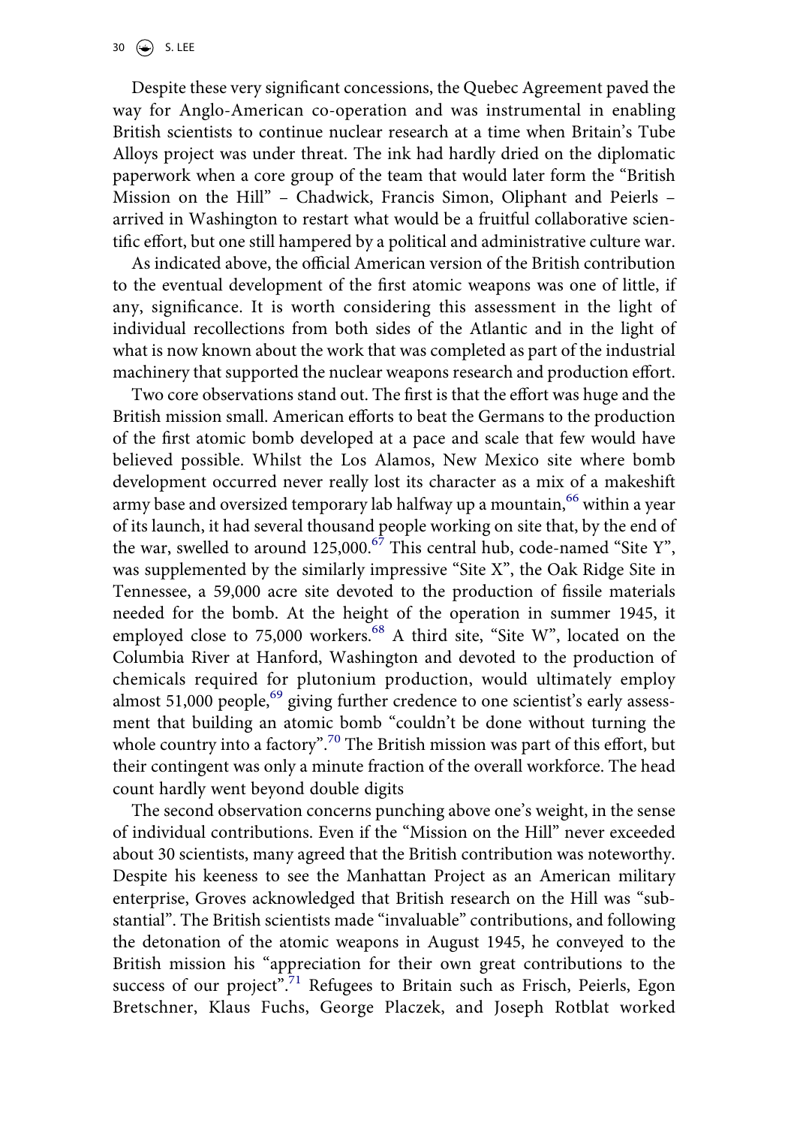Despite these very significant concessions, the Quebec Agreement paved the way for Anglo-American co-operation and was instrumental in enabling British scientists to continue nuclear research at a time when Britain's Tube Alloys project was under threat. The ink had hardly dried on the diplomatic paperwork when a core group of the team that would later form the "British Mission on the Hill" – Chadwick, Francis Simon, Oliphant and Peierls – arrived in Washington to restart what would be a fruitful collaborative scientific effort, but one still hampered by a political and administrative culture war.

As indicated above, the official American version of the British contribution to the eventual development of the first atomic weapons was one of little, if any, significance. It is worth considering this assessment in the light of individual recollections from both sides of the Atlantic and in the light of what is now known about the work that was completed as part of the industrial machinery that supported the nuclear weapons research and production effort.

Two core observations stand out. The first is that the effort was huge and the British mission small. American efforts to beat the Germans to the production of the first atomic bomb developed at a pace and scale that few would have believed possible. Whilst the Los Alamos, New Mexico site where bomb development occurred never really lost its character as a mix of a makeshift army base and oversized temporary lab halfway up a mountain,<sup>[66](#page-22-1)</sup> within a year of its launch, it had several thousand people working on site that, by the end of the war, swelled to around 125,000. $^{67}$  This central hub, code-named "Site Y", was supplemented by the similarly impressive "Site X", the Oak Ridge Site in Tennessee, a 59,000 acre site devoted to the production of fissile materials needed for the bomb. At the height of the operation in summer 1945, it employed close to 75,000 workers.<sup>[68](#page-22-3)</sup> A third site, "Site W", located on the Columbia River at Hanford, Washington and devoted to the production of chemicals required for plutonium production, would ultimately employ almost  $51,000$  people,<sup>69</sup> giving further credence to one scientist's early assessment that building an atomic bomb "couldn't be done without turning the whole country into a factory".<sup>70</sup> The British mission was part of this effort, but their contingent was only a minute fraction of the overall workforce. The head count hardly went beyond double digits

The second observation concerns punching above one's weight, in the sense of individual contributions. Even if the "Mission on the Hill" never exceeded about 30 scientists, many agreed that the British contribution was noteworthy. Despite his keeness to see the Manhattan Project as an American military enterprise, Groves acknowledged that British research on the Hill was "substantial". The British scientists made "invaluable" contributions, and following the detonation of the atomic weapons in August 1945, he conveyed to the British mission his "appreciation for their own great contributions to the success of our project<sup> $\overline{r}$ ,  $\overline{r}$ </sup> Refugees to Britain such as Frisch, Peierls, Egon Bretschner, Klaus Fuchs, George Placzek, and Joseph Rotblat worked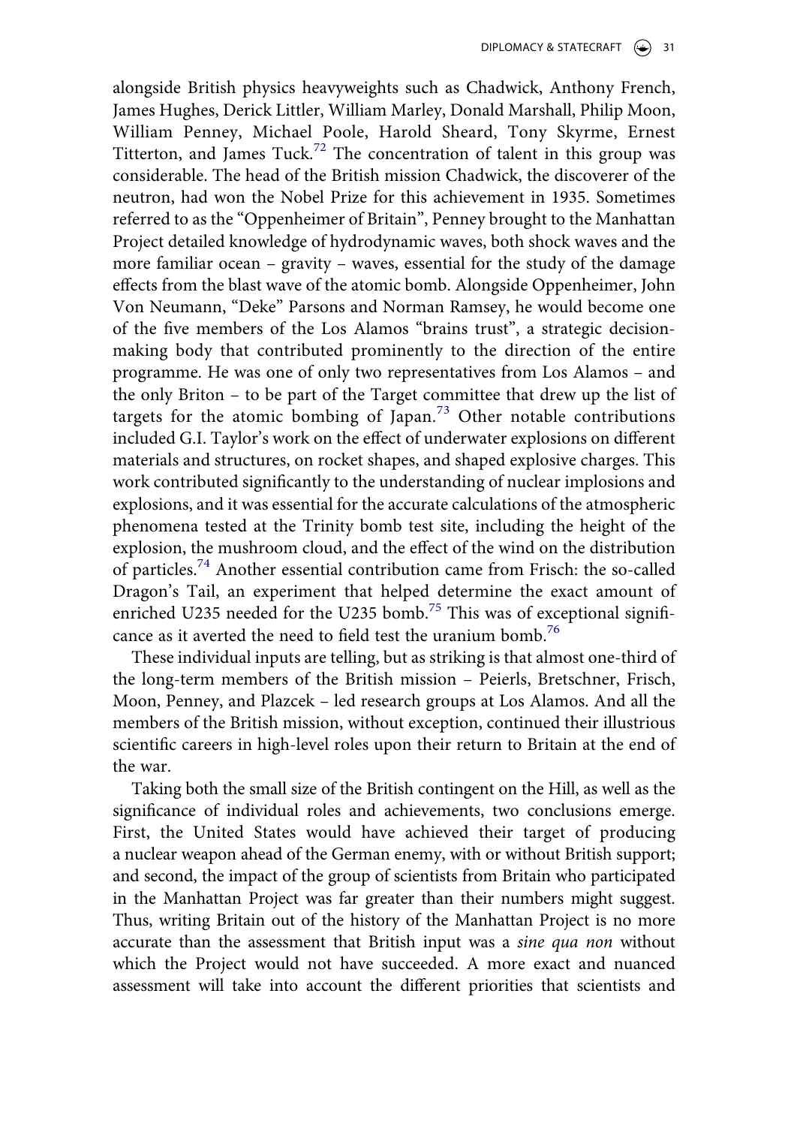alongside British physics heavyweights such as Chadwick, Anthony French, James Hughes, Derick Littler, William Marley, Donald Marshall, Philip Moon, William Penney, Michael Poole, Harold Sheard, Tony Skyrme, Ernest Titterton, and James Tuck.<sup>72</sup> The concentration of talent in this group was considerable. The head of the British mission Chadwick, the discoverer of the neutron, had won the Nobel Prize for this achievement in 1935. Sometimes referred to as the "Oppenheimer of Britain", Penney brought to the Manhattan Project detailed knowledge of hydrodynamic waves, both shock waves and the more familiar ocean – gravity – waves, essential for the study of the damage effects from the blast wave of the atomic bomb. Alongside Oppenheimer, John Von Neumann, "Deke" Parsons and Norman Ramsey, he would become one of the five members of the Los Alamos "brains trust", a strategic decisionmaking body that contributed prominently to the direction of the entire programme. He was one of only two representatives from Los Alamos – and the only Briton – to be part of the Target committee that drew up the list of targets for the atomic bombing of Japan.<sup>73</sup> Other notable contributions included G.I. Taylor's work on the effect of underwater explosions on different materials and structures, on rocket shapes, and shaped explosive charges. This work contributed significantly to the understanding of nuclear implosions and explosions, and it was essential for the accurate calculations of the atmospheric phenomena tested at the Trinity bomb test site, including the height of the explosion, the mushroom cloud, and the effect of the wind on the distribution of particles[.74](#page-22-9) Another essential contribution came from Frisch: the so-called Dragon's Tail, an experiment that helped determine the exact amount of enriched U235 needed for the U235 bomb.<sup>75</sup> This was of exceptional signifi-cance as it averted the need to field test the uranium bomb.<sup>[76](#page-22-11)</sup>

These individual inputs are telling, but as striking is that almost one-third of the long-term members of the British mission – Peierls, Bretschner, Frisch, Moon, Penney, and Plazcek – led research groups at Los Alamos. And all the members of the British mission, without exception, continued their illustrious scientific careers in high-level roles upon their return to Britain at the end of the war.

Taking both the small size of the British contingent on the Hill, as well as the significance of individual roles and achievements, two conclusions emerge. First, the United States would have achieved their target of producing a nuclear weapon ahead of the German enemy, with or without British support; and second, the impact of the group of scientists from Britain who participated in the Manhattan Project was far greater than their numbers might suggest. Thus, writing Britain out of the history of the Manhattan Project is no more accurate than the assessment that British input was a *sine qua non* without which the Project would not have succeeded. A more exact and nuanced assessment will take into account the different priorities that scientists and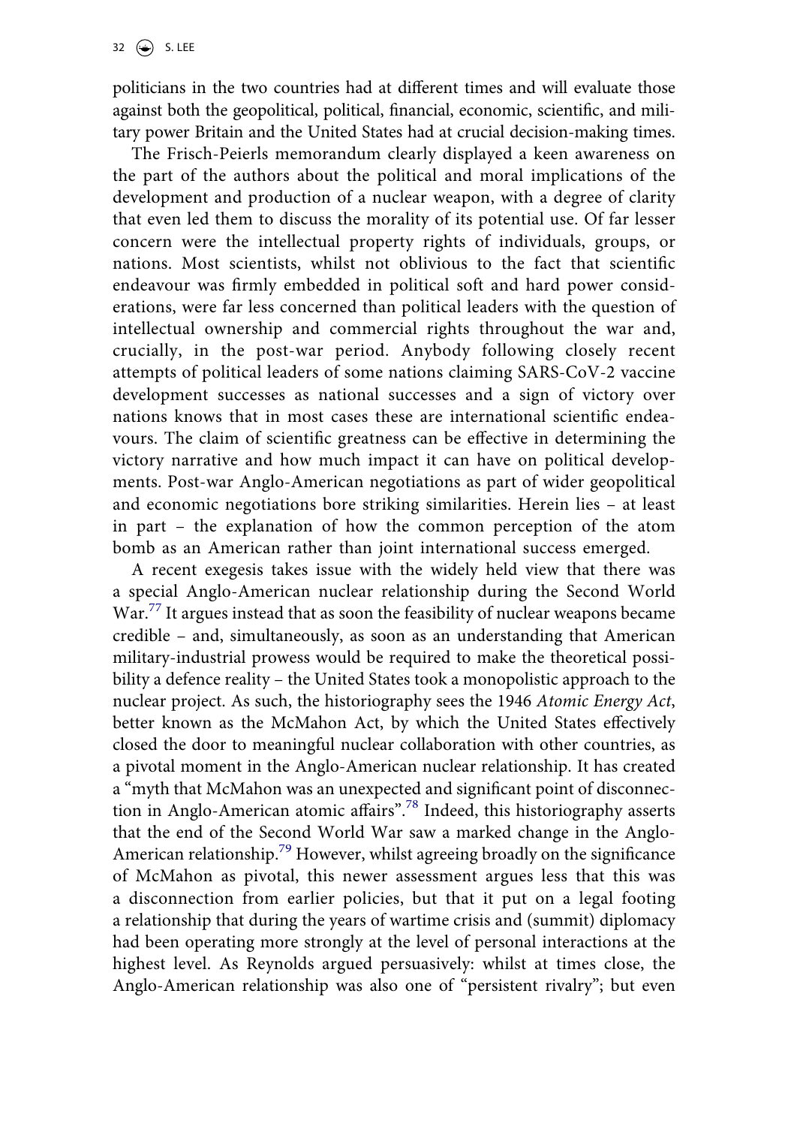politicians in the two countries had at different times and will evaluate those against both the geopolitical, political, financial, economic, scientific, and military power Britain and the United States had at crucial decision-making times.

The Frisch-Peierls memorandum clearly displayed a keen awareness on the part of the authors about the political and moral implications of the development and production of a nuclear weapon, with a degree of clarity that even led them to discuss the morality of its potential use. Of far lesser concern were the intellectual property rights of individuals, groups, or nations. Most scientists, whilst not oblivious to the fact that scientific endeavour was firmly embedded in political soft and hard power considerations, were far less concerned than political leaders with the question of intellectual ownership and commercial rights throughout the war and, crucially, in the post-war period. Anybody following closely recent attempts of political leaders of some nations claiming SARS-CoV-2 vaccine development successes as national successes and a sign of victory over nations knows that in most cases these are international scientific endeavours. The claim of scientific greatness can be effective in determining the victory narrative and how much impact it can have on political developments. Post-war Anglo-American negotiations as part of wider geopolitical and economic negotiations bore striking similarities. Herein lies – at least in part – the explanation of how the common perception of the atom bomb as an American rather than joint international success emerged.

A recent exegesis takes issue with the widely held view that there was a special Anglo-American nuclear relationship during the Second World War.<sup>[77](#page-22-12)</sup> It argues instead that as soon the feasibility of nuclear weapons became credible – and, simultaneously, as soon as an understanding that American military-industrial prowess would be required to make the theoretical possibility a defence reality – the United States took a monopolistic approach to the nuclear project. As such, the historiography sees the 1946 *Atomic Energy Act*, better known as the McMahon Act, by which the United States effectively closed the door to meaningful nuclear collaboration with other countries, as a pivotal moment in the Anglo-American nuclear relationship. It has created a "myth that McMahon was an unexpected and significant point of disconnection in Anglo-American atomic affairs".<sup>78</sup> Indeed, this historiography asserts that the end of the Second World War saw a marked change in the Anglo-American relationship.<sup>79</sup> However, whilst agreeing broadly on the significance of McMahon as pivotal, this newer assessment argues less that this was a disconnection from earlier policies, but that it put on a legal footing a relationship that during the years of wartime crisis and (summit) diplomacy had been operating more strongly at the level of personal interactions at the highest level. As Reynolds argued persuasively: whilst at times close, the Anglo-American relationship was also one of "persistent rivalry"; but even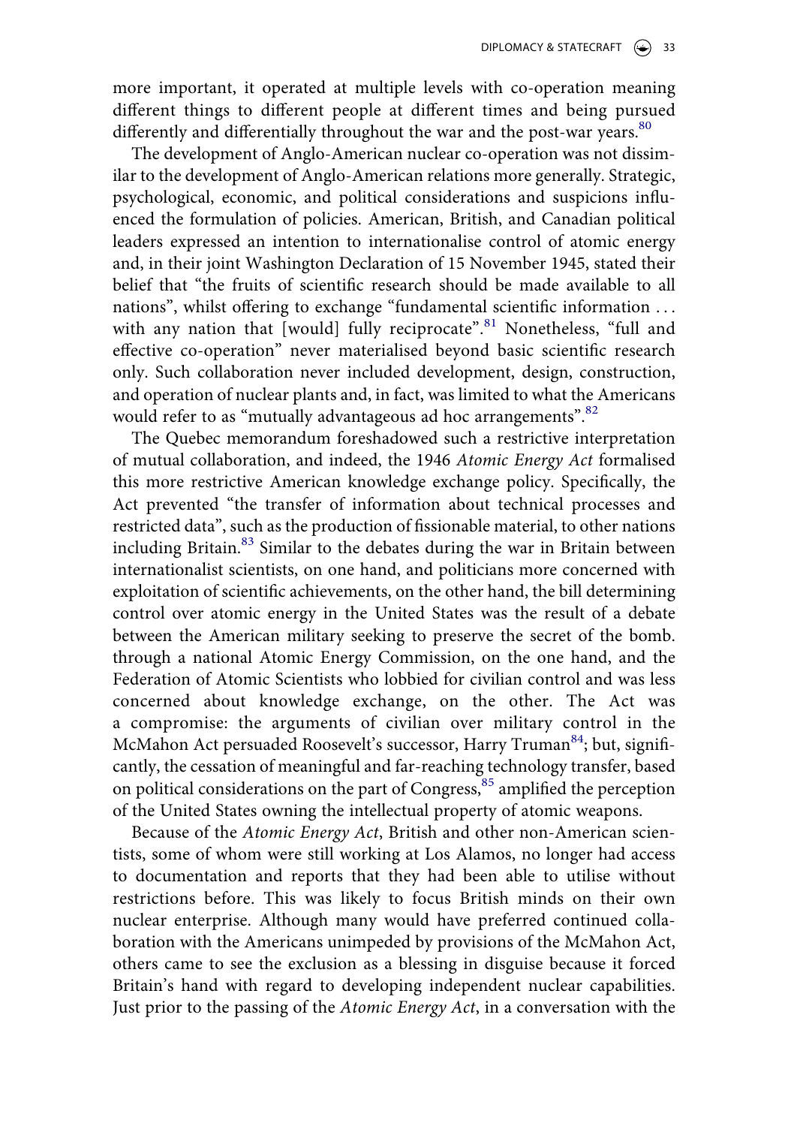more important, it operated at multiple levels with co-operation meaning different things to different people at different times and being pursued differently and differentially throughout the war and the post-war years.<sup>80</sup>

The development of Anglo-American nuclear co-operation was not dissimilar to the development of Anglo-American relations more generally. Strategic, psychological, economic, and political considerations and suspicions influenced the formulation of policies. American, British, and Canadian political leaders expressed an intention to internationalise control of atomic energy and, in their joint Washington Declaration of 15 November 1945, stated their belief that "the fruits of scientific research should be made available to all nations", whilst offering to exchange "fundamental scientific information . . . with any nation that [would] fully reciprocate".<sup>[81](#page-22-16)</sup> Nonetheless, "full and effective co-operation" never materialised beyond basic scientific research only. Such collaboration never included development, design, construction, and operation of nuclear plants and, in fact, was limited to what the Americans would refer to as "mutually advantageous ad hoc arrangements".<sup>[82](#page-22-17)</sup>

The Quebec memorandum foreshadowed such a restrictive interpretation of mutual collaboration, and indeed, the 1946 *Atomic Energy Act* formalised this more restrictive American knowledge exchange policy. Specifically, the Act prevented "the transfer of information about technical processes and restricted data", such as the production of fissionable material, to other nations including Britain.<sup>83</sup> Similar to the debates during the war in Britain between internationalist scientists, on one hand, and politicians more concerned with exploitation of scientific achievements, on the other hand, the bill determining control over atomic energy in the United States was the result of a debate between the American military seeking to preserve the secret of the bomb. through a national Atomic Energy Commission, on the one hand, and the Federation of Atomic Scientists who lobbied for civilian control and was less concerned about knowledge exchange, on the other. The Act was a compromise: the arguments of civilian over military control in the McMahon Act persuaded Roosevelt's successor, Harry Truman<sup>84</sup>; but, significantly, the cessation of meaningful and far-reaching technology transfer, based on political considerations on the part of Congress,<sup>[85](#page-22-20)</sup> amplified the perception of the United States owning the intellectual property of atomic weapons.

Because of the *Atomic Energy Act*, British and other non-American scientists, some of whom were still working at Los Alamos, no longer had access to documentation and reports that they had been able to utilise without restrictions before. This was likely to focus British minds on their own nuclear enterprise. Although many would have preferred continued collaboration with the Americans unimpeded by provisions of the McMahon Act, others came to see the exclusion as a blessing in disguise because it forced Britain's hand with regard to developing independent nuclear capabilities. Just prior to the passing of the *Atomic Energy Act*, in a conversation with the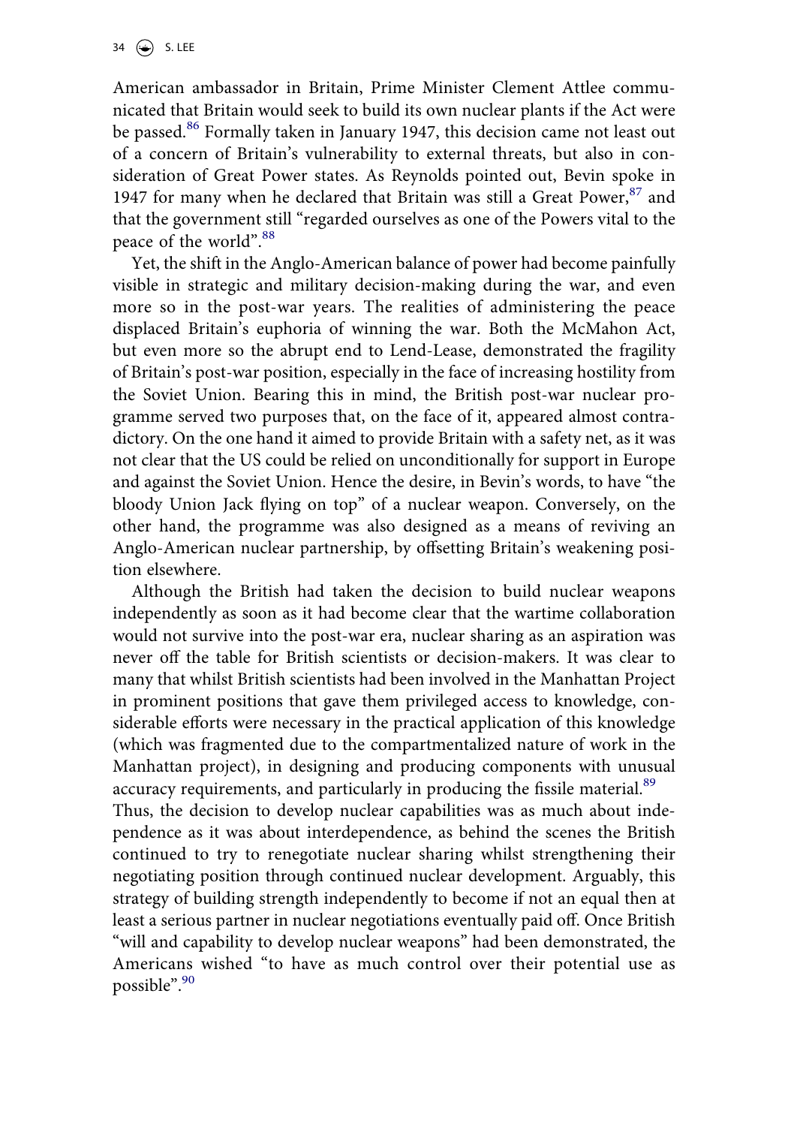American ambassador in Britain, Prime Minister Clement Attlee communicated that Britain would seek to build its own nuclear plants if the Act were be passed.<sup>86</sup> Formally taken in January 1947, this decision came not least out of a concern of Britain's vulnerability to external threats, but also in consideration of Great Power states. As Reynolds pointed out, Bevin spoke in 1947 for many when he declared that Britain was still a Great Power,  $87$  and that the government still "regarded ourselves as one of the Powers vital to the peace of the world".<sup>[88](#page-23-0)</sup>

Yet, the shift in the Anglo-American balance of power had become painfully visible in strategic and military decision-making during the war, and even more so in the post-war years. The realities of administering the peace displaced Britain's euphoria of winning the war. Both the McMahon Act, but even more so the abrupt end to Lend-Lease, demonstrated the fragility of Britain's post-war position, especially in the face of increasing hostility from the Soviet Union. Bearing this in mind, the British post-war nuclear programme served two purposes that, on the face of it, appeared almost contradictory. On the one hand it aimed to provide Britain with a safety net, as it was not clear that the US could be relied on unconditionally for support in Europe and against the Soviet Union. Hence the desire, in Bevin's words, to have "the bloody Union Jack flying on top" of a nuclear weapon. Conversely, on the other hand, the programme was also designed as a means of reviving an Anglo-American nuclear partnership, by offsetting Britain's weakening position elsewhere.

Although the British had taken the decision to build nuclear weapons independently as soon as it had become clear that the wartime collaboration would not survive into the post-war era, nuclear sharing as an aspiration was never off the table for British scientists or decision-makers. It was clear to many that whilst British scientists had been involved in the Manhattan Project in prominent positions that gave them privileged access to knowledge, considerable efforts were necessary in the practical application of this knowledge (which was fragmented due to the compartmentalized nature of work in the Manhattan project), in designing and producing components with unusual accuracy requirements, and particularly in producing the fissile material.<sup>89</sup>

Thus, the decision to develop nuclear capabilities was as much about independence as it was about interdependence, as behind the scenes the British continued to try to renegotiate nuclear sharing whilst strengthening their negotiating position through continued nuclear development. Arguably, this strategy of building strength independently to become if not an equal then at least a serious partner in nuclear negotiations eventually paid off. Once British "will and capability to develop nuclear weapons" had been demonstrated, the Americans wished "to have as much control over their potential use as possible".<sup>90</sup>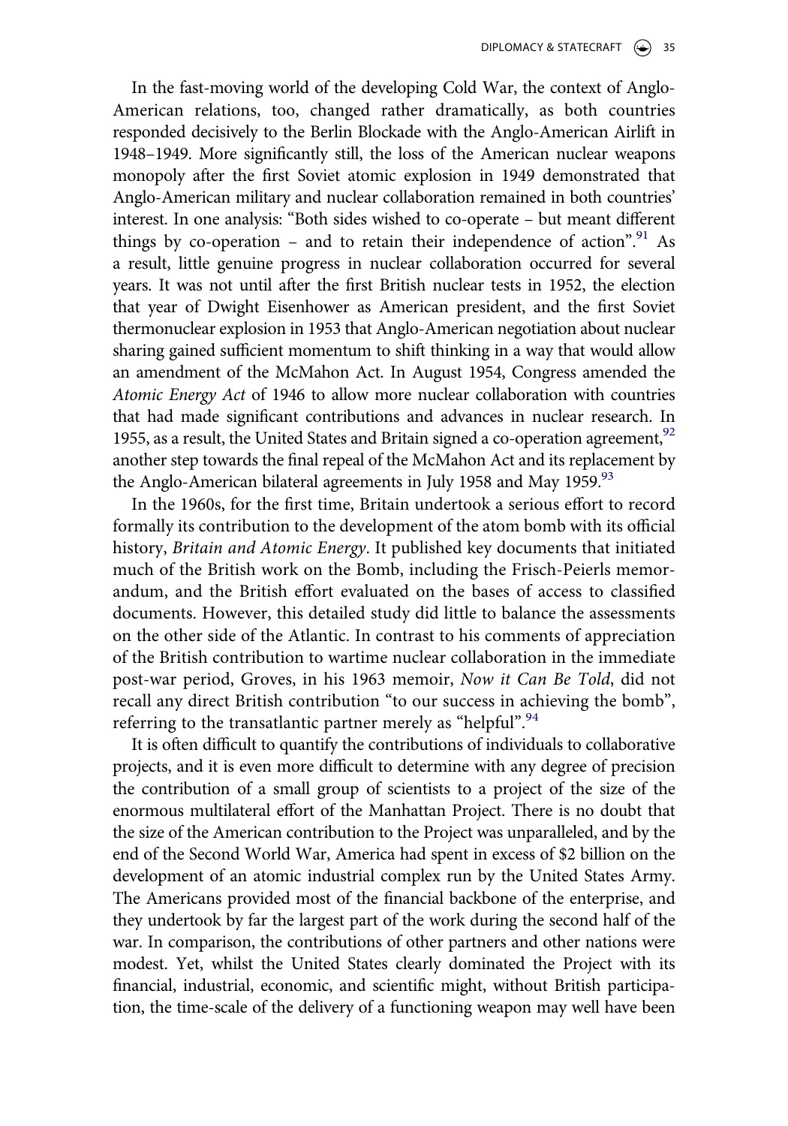In the fast-moving world of the developing Cold War, the context of Anglo-American relations, too, changed rather dramatically, as both countries responded decisively to the Berlin Blockade with the Anglo-American Airlift in 1948–1949. More significantly still, the loss of the American nuclear weapons monopoly after the first Soviet atomic explosion in 1949 demonstrated that Anglo-American military and nuclear collaboration remained in both countries' interest. In one analysis: "Both sides wished to co-operate – but meant different things by co-operation – and to retain their independence of action".<sup>91</sup> As a result, little genuine progress in nuclear collaboration occurred for several years. It was not until after the first British nuclear tests in 1952, the election that year of Dwight Eisenhower as American president, and the first Soviet thermonuclear explosion in 1953 that Anglo-American negotiation about nuclear sharing gained sufficient momentum to shift thinking in a way that would allow an amendment of the McMahon Act. In August 1954, Congress amended the *Atomic Energy Act* of 1946 to allow more nuclear collaboration with countries that had made significant contributions and advances in nuclear research. In 1955, as a result, the United States and Britain signed a co-operation agreement,  $92$ another step towards the final repeal of the McMahon Act and its replacement by the Anglo-American bilateral agreements in July 1958 and May 1959.<sup>[93](#page-23-5)</sup>

In the 1960s, for the first time, Britain undertook a serious effort to record formally its contribution to the development of the atom bomb with its official history, *Britain and Atomic Energy*. It published key documents that initiated much of the British work on the Bomb, including the Frisch-Peierls memorandum, and the British effort evaluated on the bases of access to classified documents. However, this detailed study did little to balance the assessments on the other side of the Atlantic. In contrast to his comments of appreciation of the British contribution to wartime nuclear collaboration in the immediate post-war period, Groves, in his 1963 memoir, *Now it Can Be Told*, did not recall any direct British contribution "to our success in achieving the bomb", referring to the transatlantic partner merely as "helpful".<sup>[94](#page-23-6)</sup>

It is often difficult to quantify the contributions of individuals to collaborative projects, and it is even more difficult to determine with any degree of precision the contribution of a small group of scientists to a project of the size of the enormous multilateral effort of the Manhattan Project. There is no doubt that the size of the American contribution to the Project was unparalleled, and by the end of the Second World War, America had spent in excess of \$2 billion on the development of an atomic industrial complex run by the United States Army. The Americans provided most of the financial backbone of the enterprise, and they undertook by far the largest part of the work during the second half of the war. In comparison, the contributions of other partners and other nations were modest. Yet, whilst the United States clearly dominated the Project with its financial, industrial, economic, and scientific might, without British participation, the time-scale of the delivery of a functioning weapon may well have been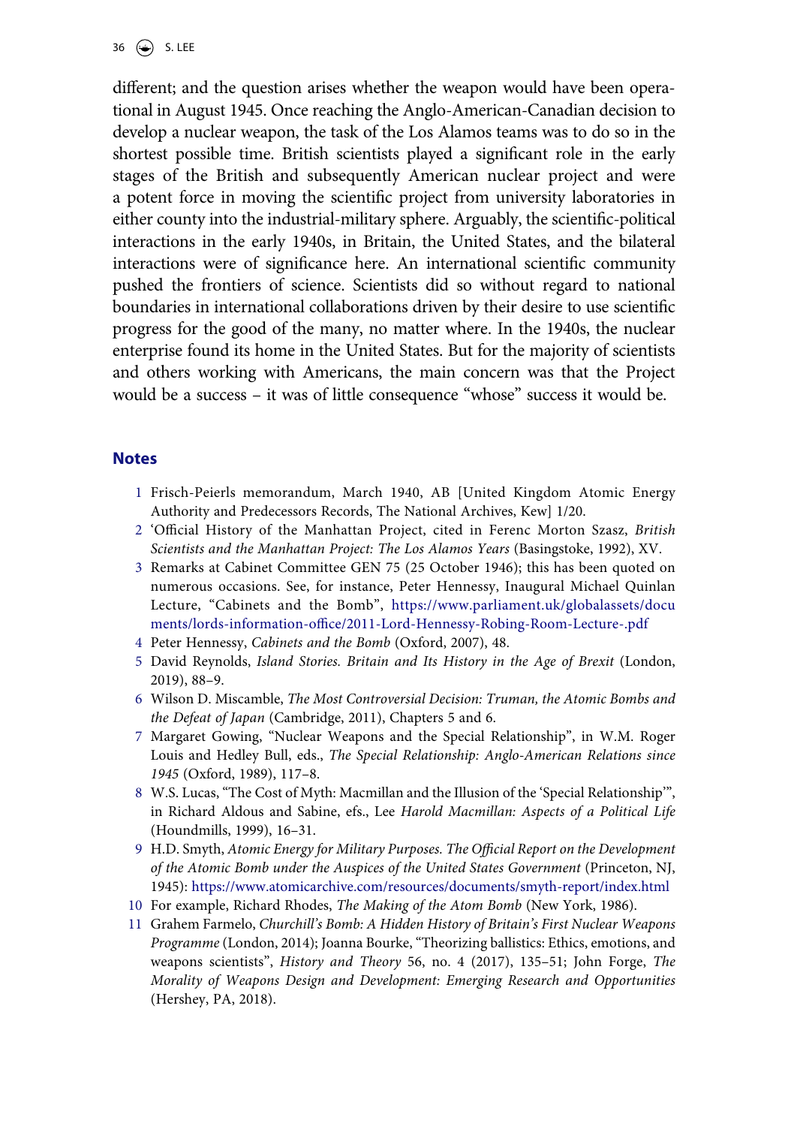different; and the question arises whether the weapon would have been operational in August 1945. Once reaching the Anglo-American-Canadian decision to develop a nuclear weapon, the task of the Los Alamos teams was to do so in the shortest possible time. British scientists played a significant role in the early stages of the British and subsequently American nuclear project and were a potent force in moving the scientific project from university laboratories in either county into the industrial-military sphere. Arguably, the scientific-political interactions in the early 1940s, in Britain, the United States, and the bilateral interactions were of significance here. An international scientific community pushed the frontiers of science. Scientists did so without regard to national boundaries in international collaborations driven by their desire to use scientific progress for the good of the many, no matter where. In the 1940s, the nuclear enterprise found its home in the United States. But for the majority of scientists and others working with Americans, the main concern was that the Project would be a success – it was of little consequence "whose" success it would be.

#### **Notes**

- <span id="page-19-0"></span>1 Frisch-Peierls memorandum, March 1940, AB [United Kingdom Atomic Energy Authority and Predecessors Records, The National Archives, Kew] 1/20.
- <span id="page-19-1"></span>2 'Official History of the Manhattan Project, cited in Ferenc Morton Szasz, *British Scientists and the Manhattan Project: The Los Alamos Years* (Basingstoke, 1992), XV.
- <span id="page-19-2"></span>3 Remarks at Cabinet Committee GEN 75 (25 October 1946); this has been quoted on numerous occasions. See, for instance, Peter Hennessy, Inaugural Michael Quinlan Lecture, "Cabinets and the Bomb", [https://www.parliament.uk/globalassets/docu](https://www.parliament.uk/globalassets/documents/lords-information-office/2011-Lord-Hennessy-Robing-Room-Lecture-.pdf) [ments/lords-information-office/2011-Lord-Hennessy-Robing-Room-Lecture-.pdf](https://www.parliament.uk/globalassets/documents/lords-information-office/2011-Lord-Hennessy-Robing-Room-Lecture-.pdf)
- <span id="page-19-3"></span>4 Peter Hennessy, *Cabinets and the Bomb* (Oxford, 2007), 48.
- <span id="page-19-4"></span>5 David Reynolds, *Island Stories. Britain and Its History in the Age of Brexit* (London, 2019), 88–9.
- <span id="page-19-5"></span>6 Wilson D. Miscamble, *The Most Controversial Decision: Truman, the Atomic Bombs and the Defeat of Japan* (Cambridge, 2011), Chapters 5 and 6.
- <span id="page-19-6"></span>7 Margaret Gowing, "Nuclear Weapons and the Special Relationship", in W.M. Roger Louis and Hedley Bull, eds., *The Special Relationship: Anglo-American Relations since 1945* (Oxford, 1989), 117–8.
- <span id="page-19-7"></span>8 W.S. Lucas, "The Cost of Myth: Macmillan and the Illusion of the 'Special Relationship'", in Richard Aldous and Sabine, efs., Lee *Harold Macmillan: Aspects of a Political Life*  (Houndmills, 1999), 16–31.
- <span id="page-19-8"></span>9 H.D. Smyth, *Atomic Energy for Military Purposes. The Official Report on the Development of the Atomic Bomb under the Auspices of the United States Government* (Princeton, NJ, 1945): <https://www.atomicarchive.com/resources/documents/smyth-report/index.html>
- <span id="page-19-9"></span>10 For example, Richard Rhodes, *The Making of the Atom Bomb* (New York, 1986).
- <span id="page-19-10"></span>11 Grahem Farmelo, *Churchill's Bomb: A Hidden History of Britain's First Nuclear Weapons Programme* (London, 2014); Joanna Bourke, "Theorizing ballistics: Ethics, emotions, and weapons scientists", *History and Theory* 56, no. 4 (2017), 135–51; John Forge, *The Morality of Weapons Design and Development: Emerging Research and Opportunities*  (Hershey, PA, 2018).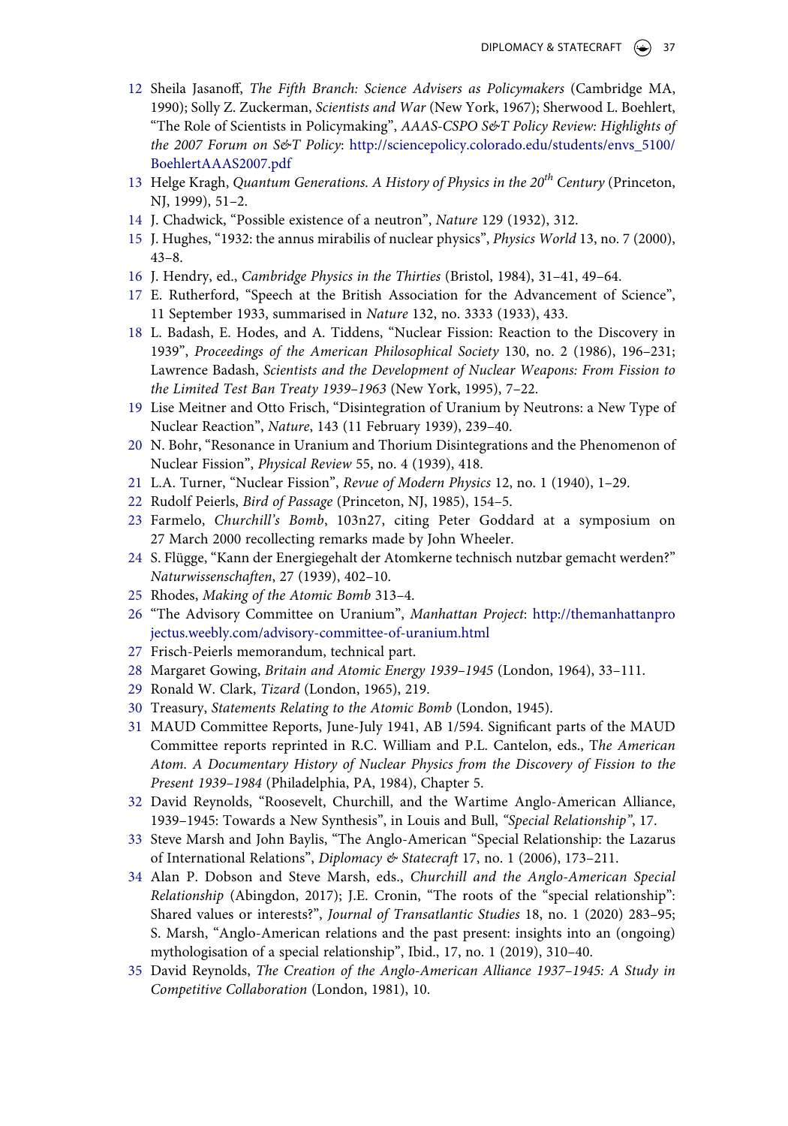- <span id="page-20-0"></span>12 Sheila Jasanoff, *The Fifth Branch: Science Advisers as Policymakers* (Cambridge MA, 1990); Solly Z. Zuckerman, *Scientists and War* (New York, 1967); Sherwood L. Boehlert, "The Role of Scientists in Policymaking", *AAAS-CSPO S&T Policy Review: Highlights of the 2007 Forum on S&T Policy*: [http://sciencepolicy.colorado.edu/students/envs\\_5100/](http://sciencepolicy.colorado.edu/students/envs_5100/BoehlertAAAS2007.pdf)  [BoehlertAAAS2007.pdf](http://sciencepolicy.colorado.edu/students/envs_5100/BoehlertAAAS2007.pdf)
- <span id="page-20-1"></span>13 Helge Kragh, *Quantum Generations. A History of Physics in the 20th Century* (Princeton, NJ, 1999), 51–2.
- <span id="page-20-2"></span>14 J. Chadwick, "Possible existence of a neutron", *Nature* 129 (1932), 312.
- <span id="page-20-3"></span>15 J. Hughes, "1932: the annus mirabilis of nuclear physics", *Physics World* 13, no. 7 (2000), 43–8.
- <span id="page-20-4"></span>16 J. Hendry, ed., *Cambridge Physics in the Thirties* (Bristol, 1984), 31–41, 49–64.
- <span id="page-20-5"></span>17 E. Rutherford, "Speech at the British Association for the Advancement of Science", 11 September 1933, summarised in *Nature* 132, no. 3333 (1933), 433.
- <span id="page-20-6"></span>18 L. Badash, E. Hodes, and A. Tiddens, "Nuclear Fission: Reaction to the Discovery in 1939", *Proceedings of the American Philosophical Society* 130, no. 2 (1986), 196–231; Lawrence Badash, *Scientists and the Development of Nuclear Weapons: From Fission to the Limited Test Ban Treaty 1939–1963* (New York, 1995), 7–22.
- <span id="page-20-7"></span>19 Lise Meitner and Otto Frisch, "Disintegration of Uranium by Neutrons: a New Type of Nuclear Reaction", *Nature*, 143 (11 February 1939), 239–40.
- <span id="page-20-8"></span>20 N. Bohr, "Resonance in Uranium and Thorium Disintegrations and the Phenomenon of Nuclear Fission", *Physical Review* 55, no. 4 (1939), 418.
- <span id="page-20-9"></span>21 L.A. Turner, "Nuclear Fission", *Revue of Modern Physics* 12, no. 1 (1940), 1–29.
- <span id="page-20-10"></span>22 Rudolf Peierls, *Bird of Passage* (Princeton, NJ, 1985), 154–5.
- <span id="page-20-11"></span>23 Farmelo, *Churchill's Bomb*, 103n27, citing Peter Goddard at a symposium on 27 March 2000 recollecting remarks made by John Wheeler.
- <span id="page-20-12"></span>24 S. Flügge, "Kann der Energiegehalt der Atomkerne technisch nutzbar gemacht werden?" *Naturwissenschaften*, 27 (1939), 402–10.
- <span id="page-20-13"></span>25 Rhodes, *Making of the Atomic Bomb* 313–4.
- <span id="page-20-14"></span>26 "The Advisory Committee on Uranium", *Manhattan Project*: [http://themanhattanpro](http://themanhattanprojectus.weebly.com/advisory-committee-of-uranium.html)  [jectus.weebly.com/advisory-committee-of-uranium.html](http://themanhattanprojectus.weebly.com/advisory-committee-of-uranium.html)
- <span id="page-20-15"></span>27 Frisch-Peierls memorandum, technical part.
- <span id="page-20-16"></span>28 Margaret Gowing, *Britain and Atomic Energy 1939–1945* (London, 1964), 33–111.
- <span id="page-20-17"></span>29 Ronald W. Clark, *Tizard* (London, 1965), 219.
- <span id="page-20-18"></span>30 Treasury, *Statements Relating to the Atomic Bomb* (London, 1945).
- <span id="page-20-19"></span>31 MAUD Committee Reports, June-July 1941, AB 1/594. Significant parts of the MAUD Committee reports reprinted in R.C. William and P.L. Cantelon, eds., T*he American Atom. A Documentary History of Nuclear Physics from the Discovery of Fission to the Present 1939–1984* (Philadelphia, PA, 1984), Chapter 5.
- <span id="page-20-20"></span>32 David Reynolds, "Roosevelt, Churchill, and the Wartime Anglo-American Alliance, 1939–1945: Towards a New Synthesis", in Louis and Bull, *"Special Relationship"*, 17.
- <span id="page-20-21"></span>33 Steve Marsh and John Baylis, "The Anglo-American "Special Relationship: the Lazarus of International Relations", *Diplomacy & Statecraft* 17, no. 1 (2006), 173–211.
- <span id="page-20-22"></span>34 Alan P. Dobson and Steve Marsh, eds., *Churchill and the Anglo-American Special Relationship* (Abingdon, 2017); J.E. Cronin, "The roots of the "special relationship": Shared values or interests?", *Journal of Transatlantic Studies* 18, no. 1 (2020) 283–95; S. Marsh, "Anglo-American relations and the past present: insights into an (ongoing) mythologisation of a special relationship", Ibid., 17, no. 1 (2019), 310–40.
- <span id="page-20-23"></span>35 David Reynolds, *The Creation of the Anglo-American Alliance 1937–1945: A Study in Competitive Collaboration* (London, 1981), 10.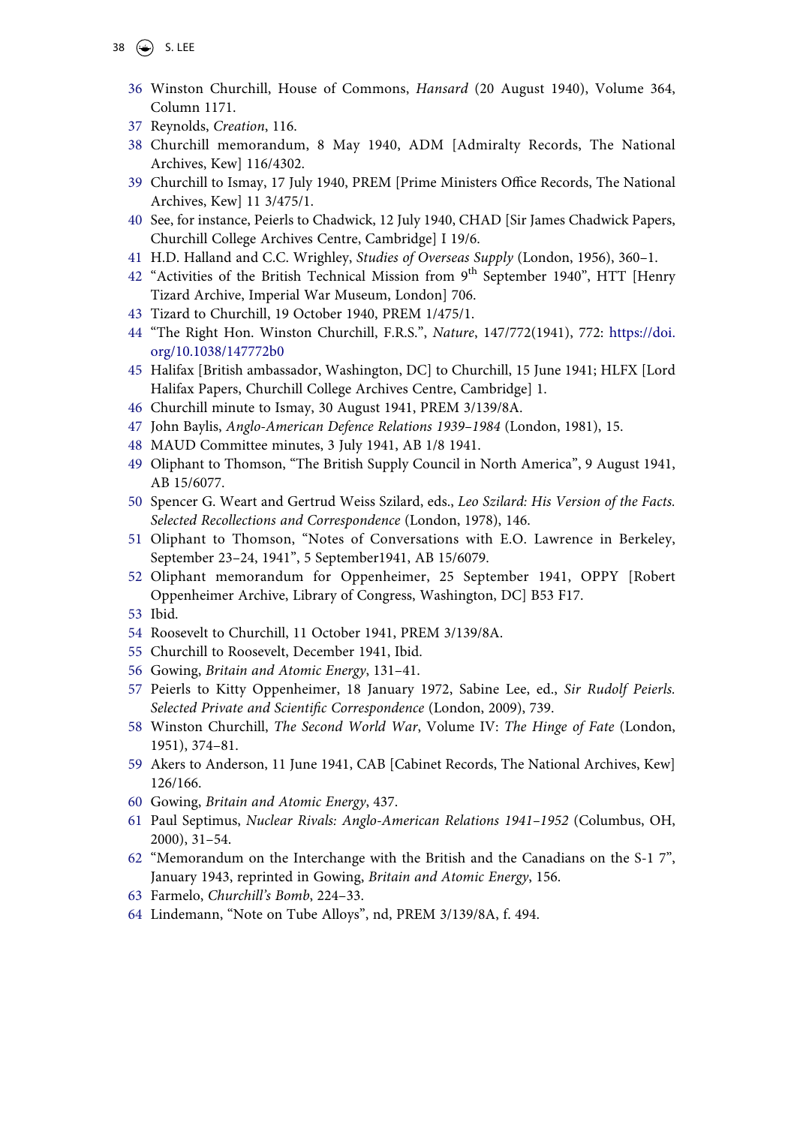38  $\left(\bigstar\right)$  S. LEE

- <span id="page-21-0"></span>36 Winston Churchill, House of Commons, *Hansard* (20 August 1940), Volume 364, Column 1171.
- <span id="page-21-1"></span>37 Reynolds, *Creation*, 116.
- <span id="page-21-2"></span>38 Churchill memorandum, 8 May 1940, ADM [Admiralty Records, The National Archives, Kew] 116/4302.
- <span id="page-21-3"></span>39 Churchill to Ismay, 17 July 1940, PREM [Prime Ministers Office Records, The National Archives, Kew] 11 3/475/1.
- <span id="page-21-4"></span>40 See, for instance, Peierls to Chadwick, 12 July 1940, CHAD [Sir James Chadwick Papers, Churchill College Archives Centre, Cambridge] I 19/6.
- <span id="page-21-5"></span>41 H.D. Halland and C.C. Wrighley, *Studies of Overseas Supply* (London, 1956), 360–1.
- <span id="page-21-6"></span>42 "Activities of the British Technical Mission from 9<sup>th</sup> September 1940", HTT [Henry Tizard Archive, Imperial War Museum, London] 706.
- <span id="page-21-7"></span>43 Tizard to Churchill, 19 October 1940, PREM 1/475/1.
- <span id="page-21-8"></span>44 "The Right Hon. Winston Churchill, F.R.S.", *Nature*, 147/772(1941), 772: [https://doi.](https://doi.org/10.1038/147772b0) [org/10.1038/147772b0](https://doi.org/10.1038/147772b0)
- <span id="page-21-9"></span>45 Halifax [British ambassador, Washington, DC] to Churchill, 15 June 1941; HLFX [Lord Halifax Papers, Churchill College Archives Centre, Cambridge] 1.
- <span id="page-21-10"></span>46 Churchill minute to Ismay, 30 August 1941, PREM 3/139/8A.
- <span id="page-21-11"></span>47 John Baylis, *Anglo-American Defence Relations 1939–1984* (London, 1981), 15.
- <span id="page-21-12"></span>48 MAUD Committee minutes, 3 July 1941, AB 1/8 1941.
- <span id="page-21-13"></span>49 Oliphant to Thomson, "The British Supply Council in North America", 9 August 1941, AB 15/6077.
- <span id="page-21-14"></span>50 Spencer G. Weart and Gertrud Weiss Szilard, eds., *Leo Szilard: His Version of the Facts. Selected Recollections and Correspondence* (London, 1978), 146.
- <span id="page-21-15"></span>51 Oliphant to Thomson, "Notes of Conversations with E.O. Lawrence in Berkeley, September 23–24, 1941", 5 September1941, AB 15/6079.
- <span id="page-21-16"></span>52 Oliphant memorandum for Oppenheimer, 25 September 1941, OPPY [Robert Oppenheimer Archive, Library of Congress, Washington, DC] B53 F17.
- <span id="page-21-17"></span>53 Ibid.
- <span id="page-21-18"></span>54 Roosevelt to Churchill, 11 October 1941, PREM 3/139/8A.
- <span id="page-21-19"></span>55 Churchill to Roosevelt, December 1941, Ibid.
- <span id="page-21-20"></span>56 Gowing, *Britain and Atomic Energy*, 131–41.
- <span id="page-21-21"></span>57 Peierls to Kitty Oppenheimer, 18 January 1972, Sabine Lee, ed., *Sir Rudolf Peierls. Selected Private and Scientific Correspondence* (London, 2009), 739.
- <span id="page-21-22"></span>58 Winston Churchill, *The Second World War*, Volume IV: *The Hinge of Fate* (London, 1951), 374–81.
- <span id="page-21-23"></span>59 Akers to Anderson, 11 June 1941, CAB [Cabinet Records, The National Archives, Kew] 126/166.
- <span id="page-21-24"></span>60 Gowing, *Britain and Atomic Energy*, 437.
- <span id="page-21-25"></span>61 Paul Septimus, *Nuclear Rivals: Anglo-American Relations 1941–1952* (Columbus, OH, 2000), 31–54.
- <span id="page-21-26"></span>62 "Memorandum on the Interchange with the British and the Canadians on the S-1 7", January 1943, reprinted in Gowing, *Britain and Atomic Energy*, 156.
- <span id="page-21-27"></span>63 Farmelo, *Churchill's Bomb*, 224–33.
- <span id="page-21-28"></span>64 Lindemann, "Note on Tube Alloys", nd, PREM 3/139/8A, f. 494.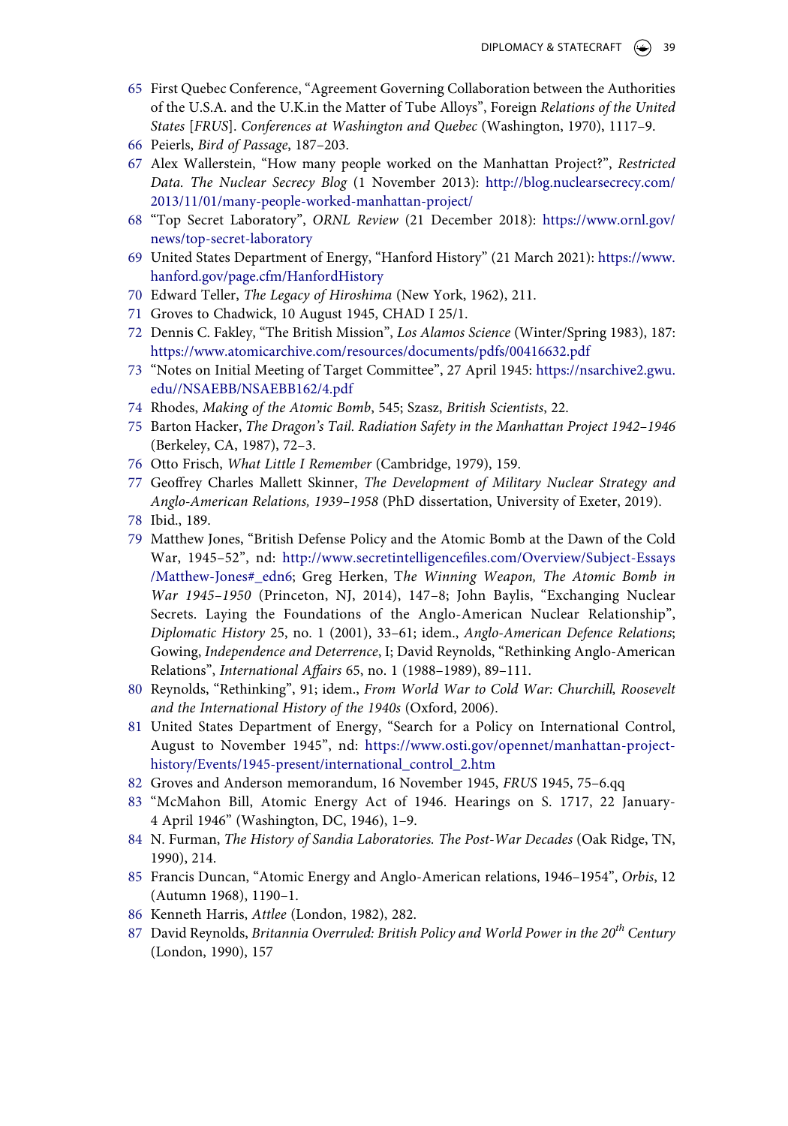- <span id="page-22-0"></span>65 First Quebec Conference, "Agreement Governing Collaboration between the Authorities of the U.S.A. and the U.K.in the Matter of Tube Alloys", Foreign *Relations of the United States* [*FRUS*]. *Conferences at Washington and Quebec* (Washington, 1970), 1117–9.
- <span id="page-22-1"></span>66 Peierls, *Bird of Passage*, 187–203.
- <span id="page-22-2"></span>67 Alex Wallerstein, "How many people worked on the Manhattan Project?", *Restricted Data. The Nuclear Secrecy Blog* (1 November 2013): [http://blog.nuclearsecrecy.com/](http://blog.nuclearsecrecy.com/2013/11/01/many-people-worked-manhattan-project/) [2013/11/01/many-people-worked-manhattan-project/](http://blog.nuclearsecrecy.com/2013/11/01/many-people-worked-manhattan-project/)
- <span id="page-22-3"></span>68 "Top Secret Laboratory", *ORNL Review* (21 December 2018): [https://www.ornl.gov/](https://www.ornl.gov/news/top-secret-laboratory) [news/top-secret-laboratory](https://www.ornl.gov/news/top-secret-laboratory)
- <span id="page-22-4"></span>69 United States Department of Energy, "Hanford History" (21 March 2021): [https://www.](https://www.hanford.gov/page.cfm/HanfordHistory)  [hanford.gov/page.cfm/HanfordHistory](https://www.hanford.gov/page.cfm/HanfordHistory)
- <span id="page-22-5"></span>70 Edward Teller, *The Legacy of Hiroshima* (New York, 1962), 211.
- <span id="page-22-6"></span>71 Groves to Chadwick, 10 August 1945, CHAD I 25/1.
- <span id="page-22-7"></span>72 Dennis C. Fakley, "The British Mission", *Los Alamos Science* (Winter/Spring 1983), 187: <https://www.atomicarchive.com/resources/documents/pdfs/00416632.pdf>
- <span id="page-22-8"></span>73 "Notes on Initial Meeting of Target Committee", 27 April 1945: [https://nsarchive2.gwu.](https://nsarchive2.gwu.edu//NSAEBB/NSAEBB162/4.pdf) [edu//NSAEBB/NSAEBB162/4.pdf](https://nsarchive2.gwu.edu//NSAEBB/NSAEBB162/4.pdf)
- <span id="page-22-9"></span>74 Rhodes, *Making of the Atomic Bomb*, 545; Szasz, *British Scientists*, 22.
- <span id="page-22-10"></span>75 Barton Hacker, *The Dragon's Tail. Radiation Safety in the Manhattan Project 1942–1946*  (Berkeley, CA, 1987), 72–3.
- <span id="page-22-11"></span>76 Otto Frisch, *What Little I Remember* (Cambridge, 1979), 159.
- <span id="page-22-12"></span>77 Geoffrey Charles Mallett Skinner, *The Development of Military Nuclear Strategy and Anglo-American Relations, 1939–1958* (PhD dissertation, University of Exeter, 2019).
- <span id="page-22-13"></span>78 Ibid., 189.
- <span id="page-22-14"></span>79 Matthew Jones, "British Defense Policy and the Atomic Bomb at the Dawn of the Cold War, 1945–52", nd: [http://www.secretintelligencefiles.com/Overview/Subject-Essays](http://www.secretintelligencefiles.com/Overview/Subject-Essays/Matthew-Jones#_edn6) [/Matthew-Jones#\\_edn6;](http://www.secretintelligencefiles.com/Overview/Subject-Essays/Matthew-Jones#_edn6) Greg Herken, T*he Winning Weapon, The Atomic Bomb in War 1945–1950* (Princeton, NJ, 2014), 147–8; John Baylis, "Exchanging Nuclear Secrets. Laying the Foundations of the Anglo-American Nuclear Relationship", *Diplomatic History* 25, no. 1 (2001), 33–61; idem., *Anglo-American Defence Relations*; Gowing, *Independence and Deterrence*, I; David Reynolds, "Rethinking Anglo-American Relations", *International Affairs* 65, no. 1 (1988–1989), 89–111.
- <span id="page-22-15"></span>80 Reynolds, "Rethinking", 91; idem., *From World War to Cold War: Churchill, Roosevelt and the International History of the 1940s* (Oxford, 2006).
- <span id="page-22-16"></span>81 United States Department of Energy, "Search for a Policy on International Control, August to November 1945", nd: [https://www.osti.gov/opennet/manhattan-project](https://www.osti.gov/opennet/manhattan-project-history/Events/1945-present/international_control_2.htm)[history/Events/1945-present/international\\_control\\_2.htm](https://www.osti.gov/opennet/manhattan-project-history/Events/1945-present/international_control_2.htm)
- <span id="page-22-17"></span>82 Groves and Anderson memorandum, 16 November 1945, *FRUS* 1945, 75–6.qq
- <span id="page-22-18"></span>83 "McMahon Bill, Atomic Energy Act of 1946. Hearings on S. 1717, 22 January-4 April 1946" (Washington, DC, 1946), 1–9.
- <span id="page-22-19"></span>84 N. Furman, *The History of Sandia Laboratories. The Post-War Decades* (Oak Ridge, TN, 1990), 214.
- <span id="page-22-20"></span>85 Francis Duncan, "Atomic Energy and Anglo-American relations, 1946–1954", *Orbis*, 12 (Autumn 1968), 1190–1.
- <span id="page-22-21"></span>86 Kenneth Harris, *Attlee* (London, 1982), 282.
- <span id="page-22-22"></span>87 David Reynolds, *Britannia Overruled: British Policy and World Power in the 20th Century*  (London, 1990), 157